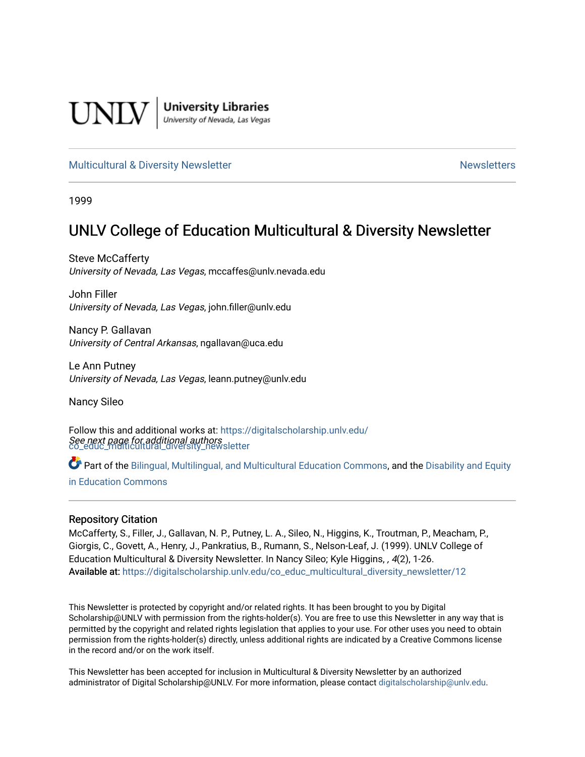

**University Libraries**<br>University of Nevada, Las Vegas

#### [Multicultural & Diversity Newsletter](https://digitalscholarship.unlv.edu/co_educ_multicultural_diversity_newsletter) Newsletter [Newsletters](https://digitalscholarship.unlv.edu/co_educ_newsletters) Newsletters

1999

## UNLV College of Education Multicultural & Diversity Newsletter

Steve McCafferty University of Nevada, Las Vegas, mccaffes@unlv.nevada.edu

John Filler University of Nevada, Las Vegas, john.filler@unlv.edu

Nancy P. Gallavan University of Central Arkansas, ngallavan@uca.edu

Le Ann Putney University of Nevada, Las Vegas, leann.putney@unlv.edu

Nancy Sileo

See next page for additional authors [co\\_educ\\_multicultural\\_diversity\\_newsletter](https://digitalscholarship.unlv.edu/co_educ_multicultural_diversity_newsletter?utm_source=digitalscholarship.unlv.edu%2Fco_educ_multicultural_diversity_newsletter%2F12&utm_medium=PDF&utm_campaign=PDFCoverPages)  Follow this and additional works at: [https://digitalscholarship.unlv.edu/](https://digitalscholarship.unlv.edu/co_educ_multicultural_diversity_newsletter?utm_source=digitalscholarship.unlv.edu%2Fco_educ_multicultural_diversity_newsletter%2F12&utm_medium=PDF&utm_campaign=PDFCoverPages)

Part of the [Bilingual, Multilingual, and Multicultural Education Commons,](http://network.bepress.com/hgg/discipline/785?utm_source=digitalscholarship.unlv.edu%2Fco_educ_multicultural_diversity_newsletter%2F12&utm_medium=PDF&utm_campaign=PDFCoverPages) and the Disability and Equity [in Education Commons](http://network.bepress.com/hgg/discipline/1040?utm_source=digitalscholarship.unlv.edu%2Fco_educ_multicultural_diversity_newsletter%2F12&utm_medium=PDF&utm_campaign=PDFCoverPages)

#### Repository Citation

McCafferty, S., Filler, J., Gallavan, N. P., Putney, L. A., Sileo, N., Higgins, K., Troutman, P., Meacham, P., Giorgis, C., Govett, A., Henry, J., Pankratius, B., Rumann, S., Nelson-Leaf, J. (1999). UNLV College of Education Multicultural & Diversity Newsletter. In Nancy Sileo; Kyle Higgins, , 4(2), 1-26. Available at: [https://digitalscholarship.unlv.edu/co\\_educ\\_multicultural\\_diversity\\_newsletter/12](https://digitalscholarship.unlv.edu/co_educ_multicultural_diversity_newsletter/12) 

This Newsletter is protected by copyright and/or related rights. It has been brought to you by Digital Scholarship@UNLV with permission from the rights-holder(s). You are free to use this Newsletter in any way that is permitted by the copyright and related rights legislation that applies to your use. For other uses you need to obtain permission from the rights-holder(s) directly, unless additional rights are indicated by a Creative Commons license in the record and/or on the work itself.

This Newsletter has been accepted for inclusion in Multicultural & Diversity Newsletter by an authorized administrator of Digital Scholarship@UNLV. For more information, please contact [digitalscholarship@unlv.edu.](mailto:digitalscholarship@unlv.edu)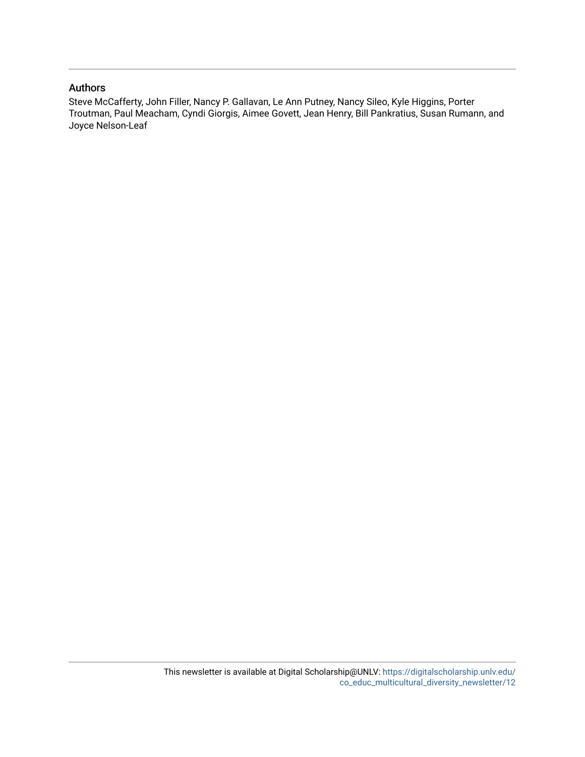#### Authors

Steve McCafferty, John Filler, Nancy P. Gallavan, Le Ann Putney, Nancy Sileo, Kyle Higgins, Porter Troutman, Paul Meacham, Cyndi Giorgis, Aimee Govett, Jean Henry, Bill Pankratius, Susan Rumann, and Joyce Nelson-Leaf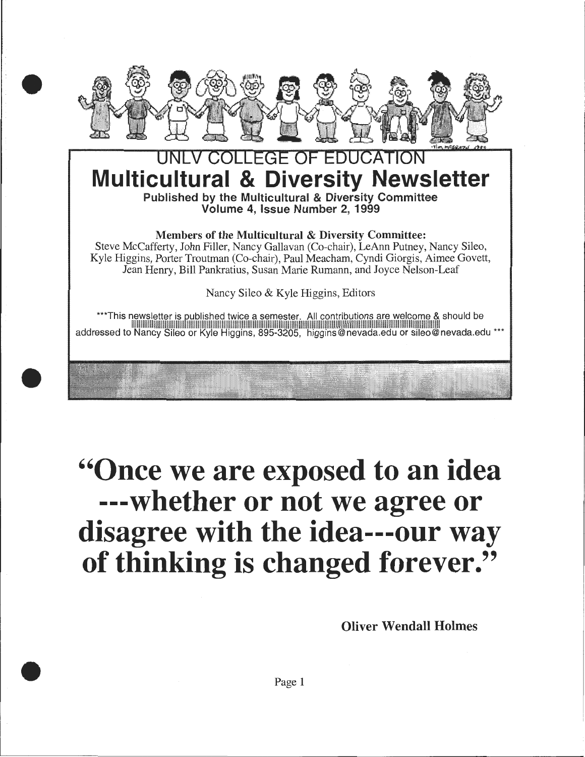

•

•

•

# **OLLEGE OF EDUCAT Multicultural & Diversity Newsletter**  Published by the Multicultural & Diversity Committee

Volume 4, Issue Number 2, 1999

Members of the Multicultural & Diversity Committee:

Steve McCafferty, John Filler, Nancy Gallavan (Co-chair), LeAnn Putney, Nancy Sileo, Kyle Higgins, Porter Troutman (Co-chair), Paul Meacham, Cyndi Giorgis, Aimee Govett, Jean Henry, Bill Pankratius, Susan Marie Rumann, and Joyce Nelson-Leaf

Nancy Sileo & Kyle Higgins, Editors

\*\*\*This newsletter is gublished twice a semester. All contributions are welcome & should be llllllllllllllllllllllllllllllllllllllllllllllllllllllllllllllllllllllllllllllllllllllllllllllllllllllllllllllllllllllllllllllllllllllllllllllllllllllllllllllllllllllll addressed to Nancy Sileo or Kyle Higgins, 895-3205, higgins@nevada.edu or sileo@nevada.edu \*\*\*

# **''Once we are exposed to an idea ---whether or not we agree or disagree with the idea---our way of thinking is changed forever.''**

Oliver Wendall Holmes

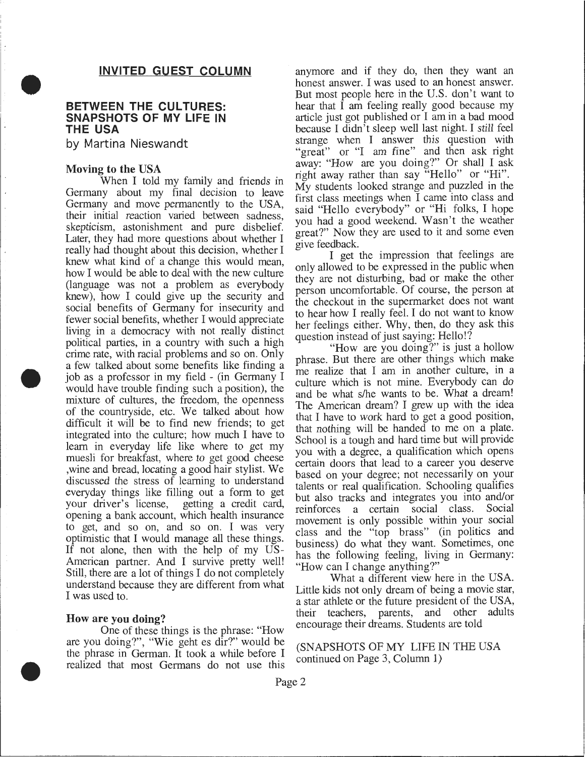#### **INVITED GUEST COLUMN**

## **BETWEEN THE CULTURES: SNAPSHOTS OF MY LIFE IN THE USA**

by Martina Nieswandt

#### Moving to the USA.

•

•

•

When I told my family and friends in Germany about my final decision to leave Germany and move permanently to the USA, their initial reaction varied between sadness, skepticism, astonishment and pure disbelief. Later, they had more questions about whether I really had thought about this decision, whether I knew what kind of a change this would mean, how I would be able to deal with the new culture (language was not a problem as everybody knew), how I could give up the security and social benefits of Germany for insecunty and fewer social benefits, whether I would appreciate living in a democracy with not really distinct political parties, in a country with such a high crime rate, with racial problems and so on. Only a few talked about some benefits like finding a job as a professor in my field - (in Germany I would have trouble finding such a position), the mixture of cultures, the freedom, the openness of the countryside, etc. We talked about how difficult it will be to find new friends; to get integrated into the culture; how much I have to learn in everyday life like where to get my muesli for breakfast, where to get good cheese ,wine and bread, locating a good hair stylist. We discussed the stress of learning to understand everyday things like filling out a form to get your driver's license, getting a credit card, opening a bank account, which health msurance to get, and so on, and so on. I was very optimistic that I would manage all these things. If not alone, then with the help of my US-American partner. And I survive pretty well! Still, there are a lot of things I do not completely understand because they are different from what I was used to.

#### How are you doing?

One of these things is the phrase: "How<br>are you doing?", "Wie geht es dir?" would be are you doing?, wie geht es dir?: would be  $(SNAPSHOTS OF MY$  LIFE IN THE USA the phrase in German. It took a while before I continued on Page 3. Column 1) the phrase in German. It took a while before 1 continued on Page 3, Column 1) realized that most Germans do not use this

anymore and if they do, then they want an honest answer. I was used to an honest answer. But most people here in the U.S. don't want to hear that I am feeling really good because my article just got published or I am in a bad mood because I didn't sleep well last night. I still feel strange when I answer this question with "great" or "I am fine" and then ask right away: "How are you doing?" Or shall I ask right away rather than say "Hello" or "HI". My students looked strange and puzzled in the first class meetings when I came into class and said "Hello everybody" or "Hi folks, I hope you had a good weekend. Wasn't the weather great?" Now they are used to it and some even give feedback.

I get the impression that feelings are only allowed to be expressed in the public when they are not disturbing, bad or make the other person uncomfortable. Of course, the person at the checkout in the supermarket does not want to hear how I really feel. I do not want to know her feelings either. Why, then, do they ask this question instead of just saying: Hello!?

"How are you doing?" is just a hollow phrase. But there are other things which make me realize that I am in another culture, in a culture which is not mine. Everybody can do and be what s/he wants to be. What a dream! The American dream? I grew up with the idea that I have to work hard to get a good position, that nothing will be handed to me on a plate. School is a tough and hard time but will provide you with a degree, a qualification which opens certain doors that lead to a career you deserve based on your degree; not necessarily on your talents or real qualification. Schooling qualifies but also tracks and integrates you into and/or reinforces a certain social class. Social movement is only possible within your social class and the "top brass" (in politics and business) do what they want. Sometimes, one has the following feeling, living in Germany: "How can I change anything?"

What a different view here in the USA. Little kids not only dream of being a movie star, a star athlete or the future president of the USA, their teachers, parents, and other adults encourage their dreams. Students are told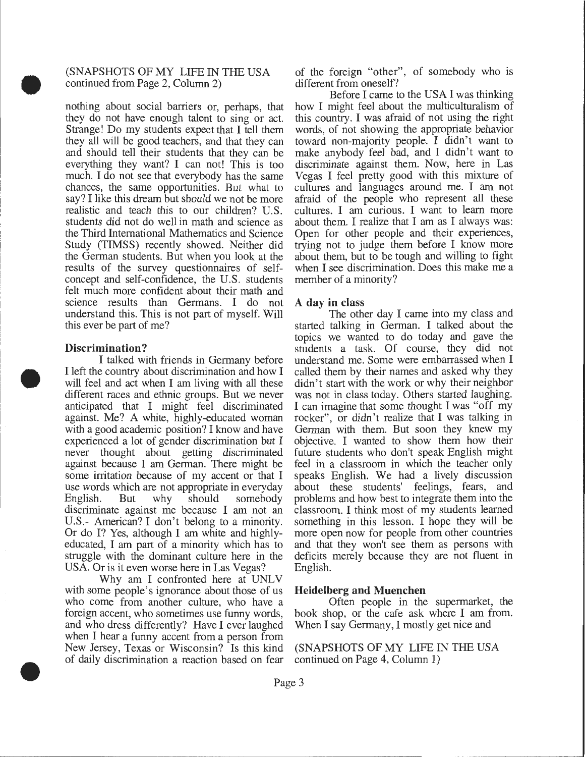#### (SNAPSHOTS OF MY LIFE IN THE USA continued from Page 2, Column 2)

nothing about social barriers or, perhaps, that they do not have enough talent to sing or act. Strange! Do my students expect that I tell them they all will be good teachers, and that they can and should tell their students that they can be everything they want? I can not! This is too much. I do not see that everybody has the same chances, the same opportunities. But what to say? I like this dream but should we not be more realistic and teach this to our children? U.S. students did not do well in math and science as the Third International Mathematics and Science Study (TIMSS) recently showed. Neither did the German students. But when you look at the results of the survey questionnaires of selfconcept and self-confidence, the U.S. students felt much more confident about their math and science results than Germans. I do not understand this. This is not part of myself. Will this ever be part of me?

#### **Discrimination?**

•

•

•

I talked with friends in Germany before I left the country about discrimination and how I will feel and act when I am living with all these different races and ethnic groups. But we never anticipated that I might feel discriminated against. Me? A white, highly-educated woman with a good academic position? I know and have experienced a lot of gender discrimination but I never thought about getting discriminated against because I am German. There might be some irritation because of my accent or that I use words which are not appropriate in everyday English. But why should somebody discriminate against me because I am not an U.S.- American? I don't belong to a minority. Or do I? Yes, although I am white and highlyeducated, I am part of a minority which has to struggle with the dominant culture here in the USA. Or is it even worse here in Las Vegas?

Why am I confronted here at UNLV with some people's ignorance about those of us who come from another culture, who have a foreign accent, who sometimes use funny words, and who dress differently? Have I ever laughed when I hear a funny accent from a person from New Jersey, Texas or Wisconsin? Is this kind of daily discrimination a reaction based on fear of the foreign "other", of somebody who is different from oneself?

Before I came to the USA I was thinking how I might feel about the multiculturalism of this country. I was afraid of not using the right words, of not showing the appropriate behavior toward non-majority people. I didn't want to make anybody feel bad, and I didn't want to discriminate against them. Now, here in Las Vegas I feel pretty good with this mixture of cultures and languages around me. I am not afraid of the people who represent all these cultures. I am curious. I want to learn more about them. I realize that I am as I always was: Open for other people and their experiences, trying not to judge them before I know more about them, but to be tough and willing to fight when I see discrimination. Does this make me a member of a minority?

#### **A day in** class

The other day I came into my class and started talking in German. I talked about the topics we wanted to do today and gave the students a task. Of course, they did not understand me. Some were embarrassed when I called them by their names and asked why they didn't start with the work or why their neighbor was not in class today. Others started laughing. I can imagine that some thought I was "off my rocker", or didn't realize that I was talking in German with them. But soon they knew my objective. I wanted to show them how their future students who don't speak English might feel in a classroom in which the teacher only speaks English. We had a lively discussion about these students' feelings, fears, and problems and how best to integrate them into the classroom. I think most of my students learned something in this lesson. I hope they will be more open now for people from other countries and that they won't see them as persons with deficits merely because they are not fluent in English.

#### **Heidelberg and Muenchen**

Often people in the supermarket, the book shop, or the cafe ask where I am from. When I say Germany, I mostly get nice and

(SNAPSHOTS OF MY LIFE IN THE USA continued on Page 4, Column 1)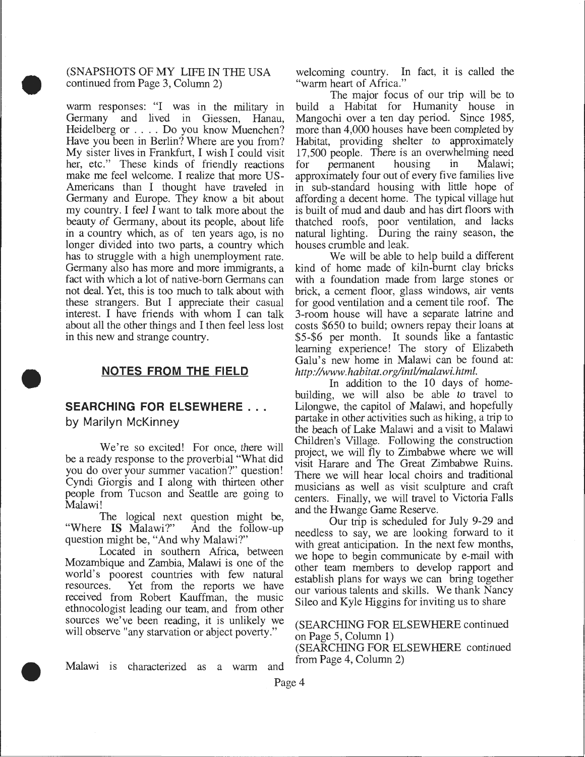#### (SNAPSHOTS OF MY LIFE IN THE USA continued from Page 3, Column 2)

•

•

•

warm responses: "I was in the military in Germany and lived in Giessen, Hanau, Heidelberg or . . . . Do you know Muenchen? Have you been in Berlin? Where are you from? My sister lives in Frankfurt, I wish I could visit her, etc." These kinds of friendly reactions make me feel welcome. I realize that more US-Americans than I thought have traveled in Germany and Europe. They know a bit about my country. I feel I want to talk more about the beauty of Germany, about its people, about life in a country which, as of ten years ago, is no longer divided into two parts, a country which has to struggle with a high unemployment rate. Germany also has more and more immigrants, a fact with which a lot of native-born Germans can not deal. Yet, this is too much to talk about with these strangers. But I appreciate their casual interest. I have friends with whom I can talk about all the other things and I then feel less lost in this new and strange country.

#### **NOTES FROM THE FIELD**

## **SEARCHING FOR ELSEWHERE** .

by Marilyn McKinney

We're so excited! For once, there will be a ready response to the proverbial "What did you do over your summer vacation?" question! Cyndi Giorgis and I along with thirteen other people from Tucson and Seattle are going to Malawi!

The logical next question might be, "Where IS Malawi?" And the follow-up question might be, "And why Malawi?"

Located in southern Africa, between Mozambique and Zambia, Malawi is one of the world's poorest countries with few natural resources. Yet from the reports we have received from Robert Kauffman, the music ethnocologist leading our team, and from other sources we've been reading, it is unlikely we will observe "any starvation or abject poverty."

welcoming country. In fact, it is called the "warm heart of Africa."

The major focus of our trip will be to build a Habitat for Humanity house in Mangochi over a ten day period. Since 1985, more than 4,000 houses have been completed by Habitat, providing shelter to approximately 17,500 people. There is an overwhelming need<br>for permanent housing in Malawi; for permanent approximately four out of every five families live in sub-standard housing with little hope of affording a decent home. The typical village hut is built of mud and daub and has dirt floors with thatched roofs, poor ventilation, and lacks natural lighting. During the rainy season, the houses crumble and leak.

We will be able to help build a different kind of home made of kiln-burnt clay bricks with a foundation made from large stones or brick, a cement floor, glass windows, air vents for good ventilation and a cement tile roof. The 3-room house will have a separate latrine and costs \$650 to build; owners repay their loans at \$5-\$6 per month. It sounds like a fantastic learning experience! The story of Elizabeth Galu's new home in Malawi can be found at: *http://www.habitat.org/intl/malawi.html .* 

In addition to the 10 days of homebuilding, we will also be able to travel to Lilongwe, the capitol of Malawi, and hopefully partake in other activities such as hiking, a trip to the beach of Lake Malawi and a visit to Malawi Children's Village. Following the construction project, we will fly to Zimbabwe where we will visit Harare and The Great Zimbabwe Ruins. There we will hear local choirs and traditional musicians as well as visit sculpture and craft centers. Finally, we will travel to Victoria Falls and the Hwange Game Reserve.

Our trip is scheduled for July 9-29 and needless to say, we are looking forward to it with great anticipation. In the next few months, we hope to begin communicate by e-mail with other team members to develop rapport and establish plans for ways we can bring together our various talents and skills. We thank Nancy Sileo and Kyle Higgins for inviting us to share

#### (SEARCHING FOR ELSEWHERE continued on Page 5, Column 1)

(SEARCHING FOR ELSEWHERE continued from Page 4, Column 2)

Malawi is characterized as a warm and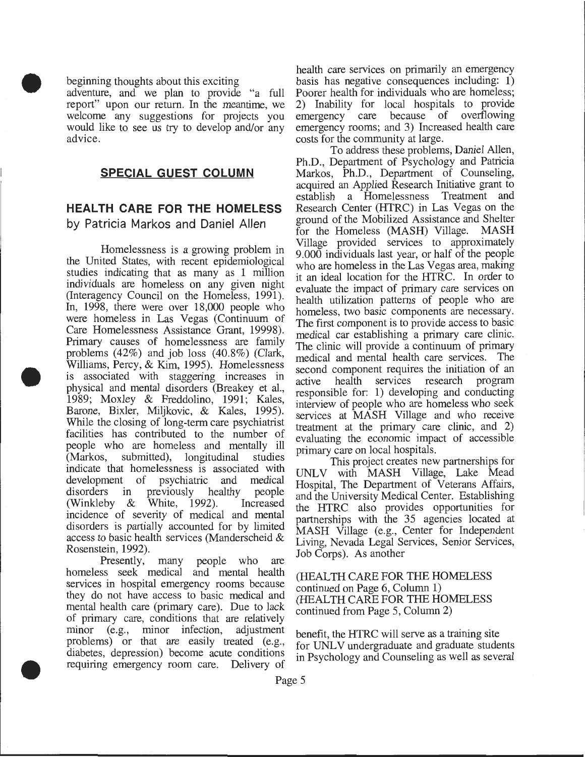beginning thoughts about this exciting

•

•

•

adventure, and we plan to provide "a full report" upon our return. In the meantime, we welcome any suggestions for projects you would like to see us try to develop and/or any advice.

#### **SPECIAL GUEST COLUMN**

## **HEALTH CARE FOR THE HOMELESS**  by Patricia Markos and Daniel Allen

Homelessness is a growing problem in the United States, with recent epidemiological studies indicating that as many as 1 million individuals are homeless on any given night (Interagency Council on the Homeless, 1991). In, 1998, there were over 18,000 people who were homeless in Las Vegas (Continuum of Care Homelessness Assistance Grant, 19998). Primary causes of homelessness are family problems (42%) and job loss (40.8%) (Clark, Williams, Percy, & Kim, 1995). Homelessness is associated with staggering increases in physical and mental disorders (Breakey et al., 1989; Moxley & Freddolino, 1991; Kales, Barone, Bixler, Miljkovic, & Kales, 1995). While the closing of long-term care psychiatrist facilities has contributed to the number of people who are homeless and mentally ill (Markos, submitted), longitudinal studies indicate that homelessness is associated with development of psychiatric and medical disorders in previously healthy people (Winkleby & White, 1992). Increased incidence of severity of medical and mental disorders is partially accounted for by limited access to basic health services (Manderscheid & Rosenstein, 1992).

Presently, many people who are homeless seek medical and mental health services in hospital emergency rooms because they do not have access to basic medical and mental health care (primary care). Due to lack of primary care, conditions that are relatively minor (e.g., minor infection, adjustment problems) or that are easily treated (e.g., diabetes, depression) become acute conditions requiring emergency room care. Delivery of

health care services on primarily an emergency basis has negative consequences including: 1) Poorer health for individuals who are homeless; 2) Inability for local hospitals to provide emergency care because of overflowing emergency rooms; and 3) Increased health care costs for the community at large.

To address these problems, Daniel Allen, Ph.D., Department of Psychology and Patricia Markos, Ph.D., Department of Counseling, acquired an Applied Research Initiative grant to establish a Homelessness Treatment and Research Center (HTRC) in Las Vegas on the ground of the Mobilized Assistance and Shelter for the Homeless (MASH) Village. MASH Village provided services to approximately 9.000 individuals last year, or half of the people who are homeless in the Las Vegas area, making it an ideal location for the HTRC. In order to evaluate the impact of primary care services on health utilization patterns of people who are homeless, two basic components are necessary. The first component is to provide access to basic medical car establishing a primary care clime. The clinic will provide a continuum of primary medical and mental health care services. The second component requires the initiation of an active health services research program responsible for: 1) developing and conducting interview of people who are homeless who seek services at MASH Village and who receive treatment at the primary care clinic, and. 2) evaluating the economic impact of accessible primary care on local hospitals. .

This project creates new partnerships for UNLV with MASH Village, Lake Mead Hospital, The Department of Veterans Affairs, and the University Medical Center. Establishing the HTRC also provides opportunities for partnerships with the 35 agencies located at MASH Village (e.g., Center for Independent Living, Nevada Legal Services, Semor Services, Job Corps). As another

#### (HEALTH CARE FOR THE HOMELESS continued on Page 6, Column 1) (HEALTH CARE FOR THE HOMELESS continued from Page 5, Column 2)

benefit, the HTRC will serve as a training site for UNLV undergraduate and graduate students in Psychology and Counseling as well as several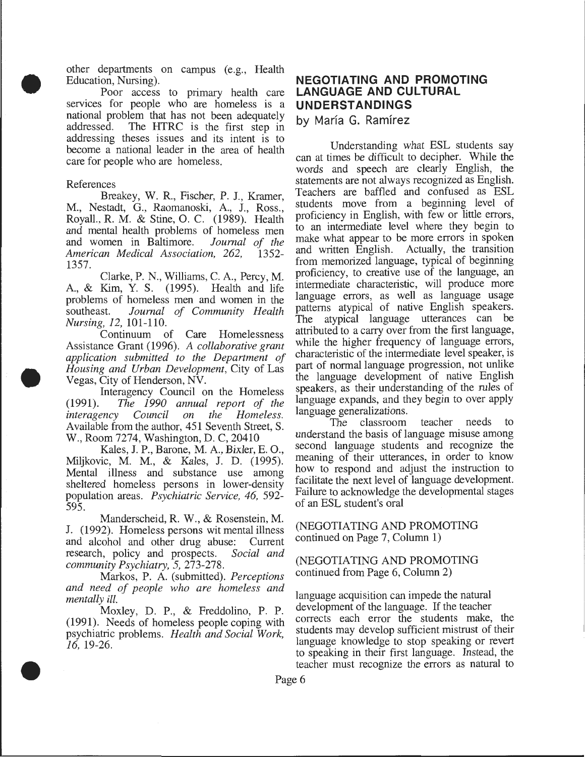other departments on campus (e.g., Health Education, Nursing).

. Poor access to primary health care services for people who are homeless is a national problem that has not been adequately addressed. The HTRC is the first step in The HTRC is the first step in addressing theses issues and its intent is to become a national leader in the area of health care for people who are homeless.

#### References

•

•

•

Breakey, W. R., Fischer, P. J., Kramer, M., Nestadt, G., Raomanoski, A, J., Ross., Royall., R. M. & Stine, 0. C. (1989). Health and mental health problems of homeless men<br>and women in Baltimore. Journal of the and women in Baltimore. *Journal of the American Medical Association, 262,* 1357.

Clarke, P. N., Williams, C. A., Percy, M. A, & Kim, Y. S. (1995). Health and life problems of homeless men and women in the southeast. *Journal of Community Health Nursing, 12,* 101-110.

Continuum of Care Homelessness Assistance Grant (1996). *A collaborative grant*  appli~ation *submitted to the Department of Housing and Urban Development, City of Las* Vegas, City of Henderson, NV.

Interagency Council on the Homeless<br>(1991). The 1990 annual report of the ~1991). *The 1990 annual report of the interagency* Available from the author, 451 Seventh Street, S. W., Room 7274, Washington, D. C, 20410

Kales, J. P., Barone, M. A, Bixler, E. 0. Miljkovic, M. M., & Kales, J. D. (1995): Mental illness and substance use among sheltered homeless persons in lower-density population areas. *Psychiatric Service*, 46, 592-595.  $595.$ 

Manderscheid, R. W., & Rosenstein, M. J. (1992). Homeless persons wit mental illness and alcohol and other drug abuse: Current research, policy and prospects. *Social and community Psychiatry, 5,* 273-278.

Markos, P. A (submitted). *Perceptions and need of people who are homeless and mentally* ill.

Moxley, D. P., & Freddolino, P. P.  $(1991)$ . Needs of homeless people coping with psychiatric problems. *Health and Social Work*, *16,* 19-26.

## **NEGOTIATING AND PROMOTING LANGUAGE AND CULTURAL UNDERSTANDINGS**

by María G. Ramírez

Understanding what ESL students say can at times be difficult to decipher. While the words and speech are clearly English, the statements are not always recognized as English. Teachers are baffled and confused as ESL students move from a beginning level of proficiency in English, with few or little errors, to an intermediate level where they begin to make what appear to be more errors in spoken and written English. Actually, the transition from memorized language, typical of beginning proficiency, to creative use of the language, an intermediate characteristic, will produce more language errors, as well as language usage patterns atypical of native English speakers. The atypical language utterances can be attributed to a carry over from the first language, while the higher frequency of language errors, characteristic of the intermediate level speaker, is part of normal language progression, not unlike the language development of native English speakers, as their understanding of the rules of language expands, and they begin to over apply language generalizations.

The classroom teacher needs to understand the basis of language misuse among second language students and recognize the meaning of their utterances, in order to know how to respond and adjust the instruction to facilitate the next level of language development. Failure to acknowledge the developmental stages of an ESL student's oral

(NEGOTIATING AND PROMOTING continued on Page 7, Column 1)

(NEGOTIATING AND PROMOTING continued from Page 6, Column 2)

language acquisition can impede the natural development of the language. If the teacher corrects each error the students make, the students may develop sufficient mistrust of their language knowledge to stop speaking or revert to speaking in their first language. Instead, the teacher must recognize the errors as natural to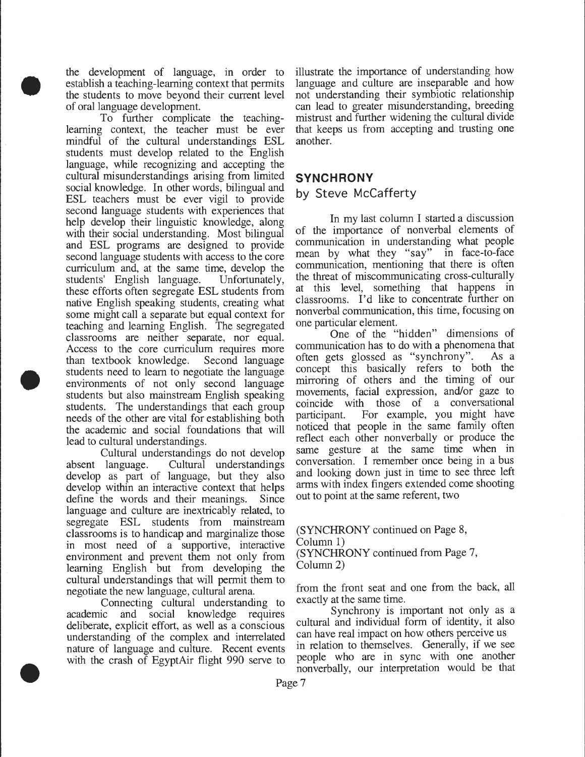the development of language, in order to establish a teaching-learning context that permits the students to move beyond their current level of oral language development.

•

•

•

To further complicate the teachinglearning context, the teacher must be ever mindful of the cultural understandings ESL students must develop related to the English language, while recognizing and accepting the cultural misunderstandings arising from limited social knowledge. In other words, bilingual and ESL teachers must be ever vigil to provide second language students with experiences that help develop their linguistic knowledge, along with their social understanding. Most bilingual and ESL programs are designed to provide second language students with access to the core curriculum and, at the same time, develop the students' English language. Unfortunately, these efforts often segregate ESL students from native English speaking students, creating what some might call a separate but equal context for teaching and learning English. The segregated classrooms are neither separate, nor equal. Access to the core curriculum requires more than textbook knowledge. Second language students need to learn to negotiate the language environments of not only second language students but also mainstream English speaking students. The understandings that each group needs of the other are vital for establishing both the academic and social foundations that will lead to cultural understandings.

Cultural understandings do not develop absent language. Cultural understandings develop as part of language, but they also develop within an interactive context that helps define the words and their meanings. Since language and culture are inextricably related, to segregate ESL students from mainstream classrooms is to handicap and marginalize those m most need of a supportive, interactive environment and prevent them not only from learning English but from developing the cultural understandings that will permit them to negotiate the new language, cultural arena.

Connecting cultural understanding to academic and social knowledge requires deliberate, explicit effort, as well as a conscious understanding of the complex and interrelated nature of language and culture. Recent events with the crash of EgyptAir flight 990 serve to

illustrate the importance of understanding how language and culture are inseparable and how not understanding their symbiotic relationship can lead to greater misunderstanding, breeding mistrust and further widening the cultural divide that keeps us from accepting and trusting one another.

## **SYNCHRONY**  by Steve McCafferty

In my last column I started a discussion of the importance of nonverbal elements of communication in understanding what people mean by what they "say" in face-to-face communication, mentioning that there is often the threat of miscommunicating cross-culturally at this level, something that happens in classrooms. I'd like to concentrate further on nonverbal communication, this time, focusing on one particular element.

One of the "hidden" dimensions of communication has to do with a phenomena that often gets glossed as "synchrony". As a concept this basically refers to both the mirroring of others and the timing of our movements, facial expression, and/or gaze to coincide with those of a conversational participant. For example, you might have noticed that people in the same family often reflect each other nonverbally or produce the same gesture at the same time when in conversation. I remember once being in a bus and looking down just in time to see three left arms with index fingers extended come shooting out to point at the same referent, two

(SYNCHRONY continued on Page 8, Column 1) (SYNCHRONY continued from Page 7, Column 2)

from the front seat and one from the back, all exactly at the same time.

Synchrony is important not only as a cultural and individual form of identity, it also can have real impact on how others perceive us in relation to themselves. Generally, if we see people who are in sync with one another nonverbally, our interpretation would be that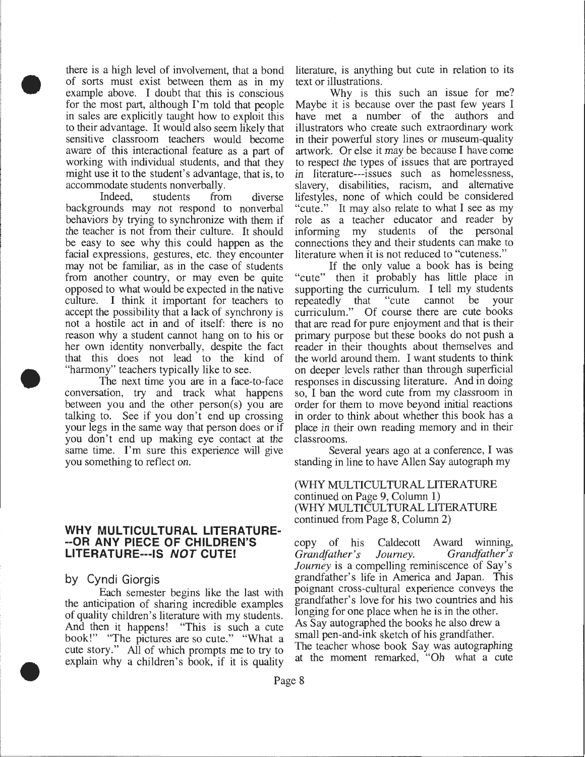there is a high level of involvement, that a bond of sorts must exist between them as in my example above. I doubt that this is conscious for the most part, although I'm told that people in sales are explicitly taught how to exploit this to their advantage. It would also seem likely that sensitive classroom teachers would become aware of this interactional feature as a part of working with individual students, and that they might use it to the student's advantage, that is, to accommodate students non verbally.

Indeed, students from diverse backgrounds may not respond to nonverbal behaviors by trying to synchronize with them if the teacher is not from their culture. It should be easy to see why this could happen as the facial expressions, gestures, etc. they encounter may not be familiar, as in the case of students from another country, or may even be quite opposed to what would be expected in the native culture. I think it important for teachers to accept the possibility that a lack of synchrony is not a hostile act in and of itself: there is no reason why a student cannot hang on to his or her own identity nonverbally, despite the fact that this does not lead to the kind of "harmony" teachers typically like to see .

The next time you are in a face-to-face conversation, try and track what happens between you and the other person(s) you are talking to. See if you don't end up crossing your legs in the same way that person does or if you don't end up making eye contact at the same time. I'm sure this experience will give you something to reflect on.

#### **WHY MULTICULTURAL LITERATURE- --OR ANY PIECE OF CHILDREN'S LITERATURE---IS NOT CUTE!**

by Cyndi Giorgis

Each semester begins like the last with the anticipation of sharing incredible examples of quality children's literature with my students. And then it happens! "This is such a cute book!" "The pictures are so cute." "What a cute story." All of which prompts me to try to explain why a children's book, if it is quality

literature, is anything but cute in relation to its text or illustrations.

Why is this such an issue for me? Maybe it is because over the past few years I have met a number of the authors and illustrators who create such extraordinary work in their powerful story lines or museum-quality artwork. Or else it may be because I have come to respect the types of issues that are portrayed in literature---issues such as homelessness, slavery, disabilities, racism, and alternative lifestyles, none of which could be considered "cute." It may also relate to what I see as my role as a teacher educator and reader by informing my students of the personal connections they and their students can make to literature when it is not reduced to "cuteness."

If the only value a book has is being "cute" then it probably has little place in supporting the curriculum. I tell my students repeatedly that "cute cannot be your curriculum." Of course there are cute books that are read for pure enjoyment and that is their primary purpose but these books do not push a reader in their thoughts about themselves and the world around them. I want students to think on deeper levels rather than through superficial responses in discussing literature. And in doing so, I ban the word cute from my classroom in order for them to move beyond initial reactions in order to think about whether this book has a place in their own reading memory and in their classrooms.

Several years ago at a conference, I was standing in line to have Allen Say autograph my

(WHY MULTICULTURAL LITERATURE continued on Page 9, Column 1) (WHY MULTICULTURAL LITERATURE continued from Page 8, Column 2)

copy of his Caldecott Award winning, *Grandfather's Journey. Grandfather's Journey* is a compelling reminiscence of Say's grandfather's life in America and Japan. This poignant cross-cultural experience conveys the grandfather's love for his two countries and his longing for one place when he is in the other. As Say autographed the books he also drew a small pen-and-ink sketch of his grandfather. The teacher whose book Say was autographing at the moment remarked, "Oh what a cute



•

•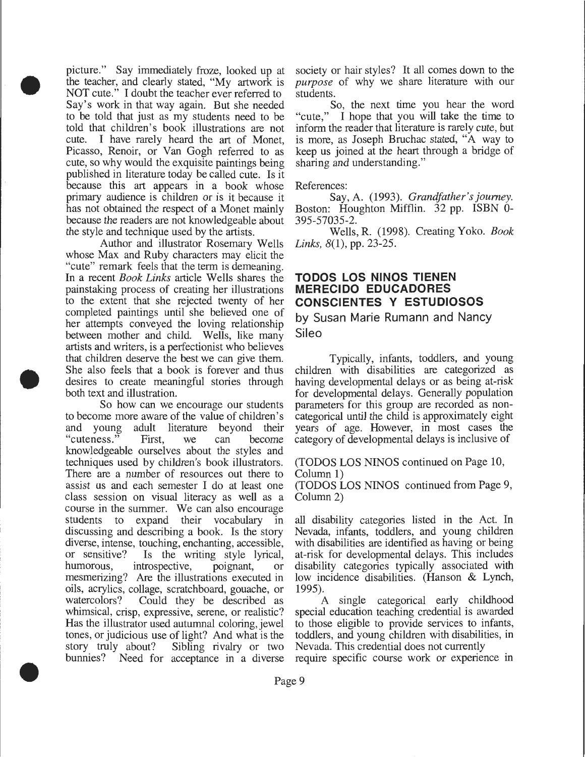picture." Say immediately froze, looked up at the teacher, and clearly stated, "My artwork is NOT cute." I doubt the teacher ever referred to Say's work in that way again. But she needed to be told that just as my students need to be told that children's book illustrations are not cute. I have rarely heard the art of Monet, Picasso, Renoir, or Van Gogh referred to as cute, so why would the exquisite paintings being published in literature today be called cute. Is it because this art appears in a book whose primary audience is children or is it because it has not obtained the respect of a Monet mainly because the readers are not knowledgeable about the style and technique used by the artists.

•

•

•

Author and illustrator Rosemary Wells whose Max and Ruby characters may elicit the "cute" remark feels that the term is demeaning. In a recent *Book Links* article Wells shares the painstaking process of creating her illustrations to the extent that she rejected twenty of her completed paintings until she believed one of her attempts conveyed the loving relationship between mother and child. Wells, like many artists and writers, is a perfectionist who believes that children deserve the best we can give them. She also feels that a book is forever and thus desires to create meaningful stories through both text and illustration.

So how can we encourage our students to become more aware of the value of children's and young adult literature beyond their "cuteness." First, we can become knowledgeable ourselves about the styles and techniques used by children's book illustrators. There are a number of resources out there to assist us and each semester I do at least one class session on visual literacy as well as a course in the summer. We can also encourage students to expand their vocabulary in discussing and describing a book. Is the story diverse, intense, touching, enchanting, accessible, or sensitive? Is the writing style lyrical, humorous, introspective, poignant, or mesmerizing? Are the illustrations executed in oils, acrylics, collage, scratchboard, gouache, or watercolors? Could they be described as whimsical, crisp, expressive, serene, or realistic? Has the illustrator used autumnal coloring, jewel tones, or judicious use of light? And what is the story truly about? Sibling rivalry or two bunnies? Need for acceptance in a diverse

society or hair styles? It all comes down to the *purpose* of why we share literature with our students.

So, the next time you hear the word "cute," I hope that you will take the time to inform the reader that literature is rarely cute, but is more, as Joseph Bruchac stated, "A way to keep us joined at the heart through a bridge of sharing and understanding."

#### References:

Say, A. (1993). *Grandfather's journey.*  Boston: Houghton Mifflin. 32 pp. ISBN 0- 395-57035-2.

Wells, R. (1998). Creating Yoko. *Book Links,* 8(1), pp. 23-25.

#### **TODOS LOS NINOS TIENEN MERECIDO EDUCADORES CONSCIENTES Y ESTUDIOSOS**

## by Susan Marie Rumann and Nancy Sileo

Typically, infants, toddlers, and young children with disabilities are categorized as having developmental delays or as being at-risk for developmental delays. Generally population parameters for this group are recorded as noncategorical until the child is approximately eight years of age. However, in most cases the category of developmental delays is inclusive of

#### (TODOS LOS NINOS continued on Page 10, Column 1)

(TODOS LOS NINOS continued from Page 9, Column 2)

all disability categories listed in the Act. In Nevada, infants, toddlers, and young children with disabilities are identified as having or being at-risk for developmental delays. This includes disability categories typically associated with low incidence disabilities. (Hanson & Lynch, 1995).

A single categorical early childhood special education teaching credential is awarded to those eligible to provide services to infants, toddlers, and young children with disabilities, in Nevada. This credential does not currently require specific course work or experience in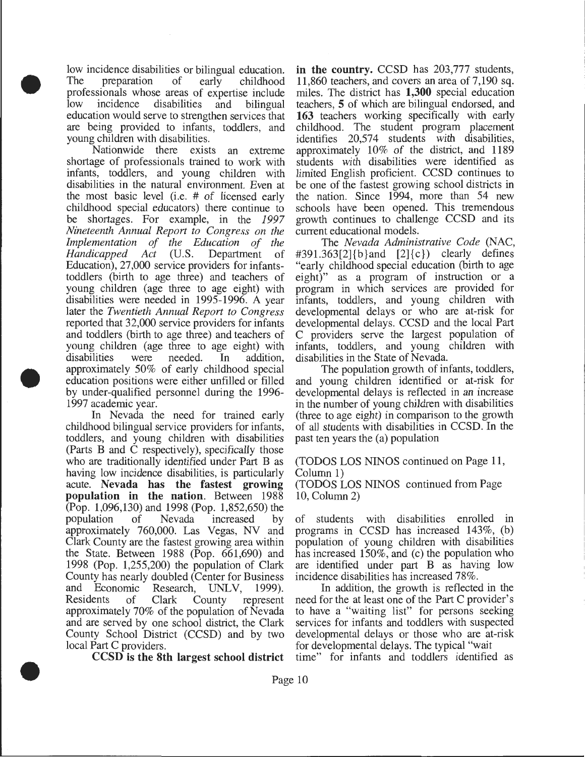low incidence disabilities or bilingual education. The preparation of early childhood professionals whose areas of expertise include low incidence disabilities and bilingual education would serve to strengthen services that are being provided to infants, toddlers, and young children with disabilities.

•

•

•

Nationwide there exists an extreme shortage of professionals trained to work with infants, toddlers, and young children with disabilities in the natural environment. Even at the most basic level (i.e. # of licensed early childhood special educators) there continue to be shortages. For example, in the *1997 Nineteenth Annual Report to Congress on the Implementation of the Education of the Handicapped Act* (U.S. Department of Education), 27,000 service providers for infantstoddlers (birth to age three) and teachers of young children (age three to age eight) with disabilities were needed in 1995-1996. A year later the *Twentieth Annual Report to Congress*  reported that 32,000 service providers for infants and toddlers (birth to age three) and teachers of young children (age three to age eight) with disabilities were needed. In addition, approximately 50% of early childhood special education positions were either unfilled or filled by under-qualified personnel during the 1996- 1997 academic year.

In Nevada the need for trained early childhood bilingual service providers for infants, toddlers, and young children with disabilities (Parts B and C respectively), specifically those who are traditionally identified under Part B as having low incidence disabilities, is particularly acute. Nevada has the fastest growing population in the nation. Between 1988 (Pop. 1,096,130) and 1998 (Pop. 1,852,650) the population of Nevada increased by approximately 760,000. Las Vegas, NV and Clark County are the fastest growing area within the State. Between 1988 (Pop. 661,690) and 1998 (Pop. 1,255,200) the population of Clark County has nearly doubled (Center for Business and Economic Research, UNLV, 1999). Residents of Clark County represent approximately 70% of the population of Nevada and are served by one school district, the Clark County School District (CCSD) and by two local Part C providers.

CCSD is the 8th largest school district

in the country. CCSD has 203,777 students, 11,860 teachers, and covers an area of 7,190 sq. miles. The district has 1,300 special education teachers, 5 of which are bilingual endorsed, and 163 teachers working specifically with early childhood. The student program placement identifies 20,574 students with disabilities, approximately 10% of the district, and 1189 students with disabilities were identified as limited English proficient. CCSD continues to be one of the fastest growing school districts in the nation. Since 1994, more than 54 new schools have been opened. This tremendous growth continues to challenge CCSD and its current educational models.

The *Nevada Administrative Code* (NAC,  $\#391.363[2]{b}$  and  $[2]{c}$  clearly defines "early childhood special education (birth to age eight)" as a program of instruction or a program in which services are provided for infants, toddlers, and young children with developmental delays or who are at-risk for developmental delays. CCSD and the local Part C providers serve the largest population of infants, toddlers, and young children with disabilities in the State of Nevada.

The population growth of infants, toddlers, and young children identified or at-risk for developmental delays is reflected in an increase in the number of young children with disabilities (three to age eight) in comparison to the growth of all students with disabilities in CCSD. In the past ten years the (a) population

(TODOS LOS NINOS continued on Page 11, Column 1)

(TODOS LOS NINOS continued from Page 10, Column 2)

of students with disabilities enrolled in programs in CCSD has increased 143%, (b) population of young children with disabilities has increased 150%, and (c) the population who are identified under part B as having low incidence disabilities has increased 78%.

In addition, the growth is reflected in the need for the at least one of the Part C provider's to have a "waiting list" for persons seeking services for infants and toddlers with suspected developmental delays or those who are at-risk for developmental delays. The typical "wait

time" for infants and toddlers identified as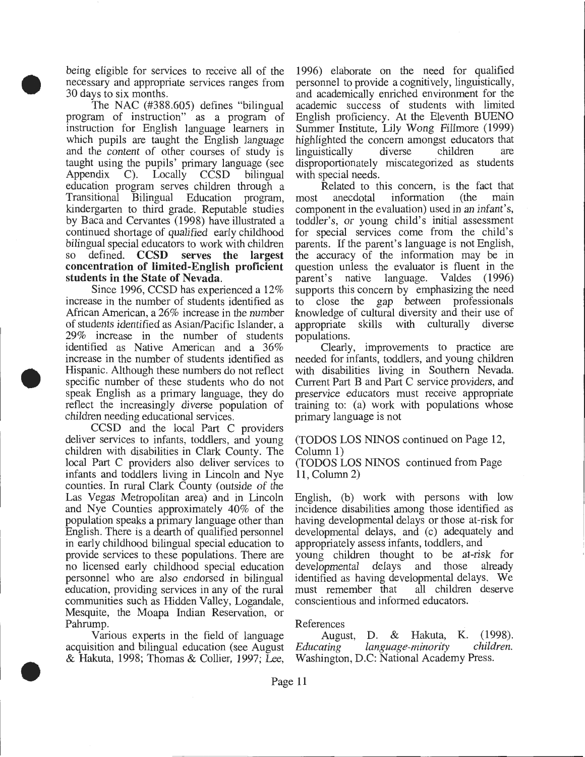being eligible for services to receive all of the necessary and appropriate services ranges from 30 days to six months.

•

•

•

The NAC (#388.605) defines "bilingual program of instruction" as a program of instruction for English language learners in which pupils are taught the English language and the content of other courses of study is taught using the pupils' primary language (see Appendix C). Locally CCSD bilingual education program serves children through a Transitional Bilingual Education program, kindergarten to third grade. Reputable studies by Baca and Cervantes (1998) have illustrated a continued shortage of qualified early childhood bilingual special educators to work with children so defined. CCSD serves the largest concentration of limited-English proficient students in the State of Nevada.

Since 1996, CCSD has experienced a 12% increase in the number of students identified as African American, a 26% increase in the number of students identified as Asian/Pacific Islander, a 29% increase in the number of students identified as Native American and a 36% increase in the number of students identified as Hispanic. Although these numbers do not reflect specific number of these students who do not speak English as a primary language, they do reflect the increasingly diverse population of children needing educational services.

CCSD and the local Part C providers deliver services to infants, toddlers, and young children with disabilities in Clark County. The local Part C providers also deliver services to infants and toddlers living in Lincoln and Nye counties. In rural Clark County (outside of the Las Vegas Metropolitan area) and in Lincoln and Nye Counties approximately 40% of the population speaks a primary language other than English. There is a dearth of qualified personnel in early childhood bilingual special education to provide services to these populations. There are no licensed early childhood special education personnel who are also endorsed in bilingual education, providing services in any of the rural communities such as Hidden Valley, Logandale, Mesquite, the Moapa Indian Reservation, or Pahrump.

Various experts in the field of language acquisition and bilingual education (see August & Hakuta, 1998; Thomas & Collier, 1997; Lee, 1996) elaborate on the need for qualified personnel to provide a cognitively, linguistically, and academically enriched environment for the academic success of students with limited English proficiency. At the Eleventh BUENO Summer Institute, Lily Wong Fillmore (1999) highlighted the concern amongst educators that<br>linguistically diverse children are linguistically disproportionately miscategorized as students with special needs.

Related to this concern, is the fact that<br>anecdotal information (the main most anecdotal information component in the evaluation) used in an infant's, toddler's, or young child's initial assessment for special services come from the child's parents. If the parent's language is not English, the accuracy of the information may be in question unless the evaluator is fluent in the parent's native language. Valdes (1996) native language. Valdes (1996) supports this concern by emphasizing the need to close the gap between professionals knowledge of cultural diversity and their use of appropriate skills with culturally diverse populations.

Clearly, improvements to practice are needed for infants, toddlers, and young children with disabilities living in Southern Nevada. Current Part B and Part C service providers, and preservice educators must receive appropriate training to: (a) work with populations whose primary language is not

(TODOS LOS NINOS continued on Page 12, Column 1)

(TODOS LOS NINOS continued from Page 11, Column 2)

English, (b) work with persons with low incidence disabilities among those identified as having developmental delays or those at-risk for developmental delays, and (c) adequately and appropriately assess infants, toddlers, and

young children thought to be at-risk for developmental delays and those already identified as having developmental delays. We must remember that conscientious and informed educators.

#### References

August, D. & Hakuta, K. (1998).<br> *Ating language-minority children. Educating language-minority children.*  Washington, D.C: National Academy Press.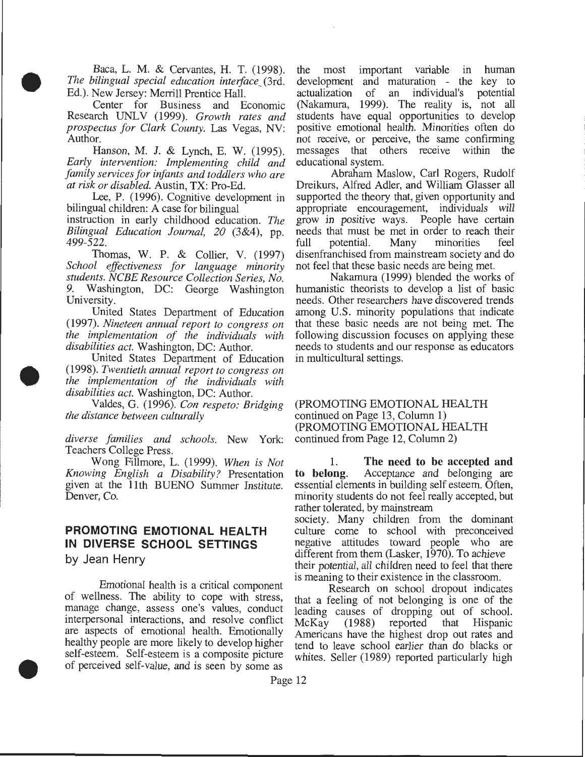Baca, L. M. & Cervantes, H. T. (1998). *The bilingual special education interface\_* (3rd. Ed.). New Jersey: Merrill Prentice Hall.

•

•

•

Center for Business and Economic Research UNLV (1999). Growth rates and *prospectus for Clark County.* Las Vegas, NV: Author.

Hanson, M. J. & Lynch, E. W. (1995). *Early interoention: Implementing child and family seroices for infants and toddlers who are at risk or disabled.* Austin, TX: Pro-Ed.

Lee, P. (1996). Cognitive development in bilingual children: A case for bilingual

instruction in early childhood education. *The Bilingual Education Journal, 20* (3&4), pp. 499-522.

Thomas, W. P. & Collier, V. (1997) *School effectiveness for language minority students. NCBE Resource Collection Series, No.*  Washington, DC: George Washington University.

United States Department of Education (1997). *Nineteen annual report to congress on the implementation of the individuals with disabilities act.* Washington, DC: Author.

United States Department of Education (1998). *Twentieth annual report to congress on the implementation of the individuals with disabilities act.* Washington, DC: Author.

Valdes, G. (1996). *Con respeto: Bridging the distance between culturally* 

*diverse families and schools.* New York: Teachers College Press.

Wong Fillmore, L. (1999). *When is Not Knowing English a Disability?* Presentation given at the 11th BUENO Summer Institute. Denver, Co.

## **PROMOTING EMOTIONAL HEALTH IN DIVERSE SCHOOL SETTINGS**

by Jean Henry

Emotional health is a critical component of wellness. The ability to cope with stress, manage change, assess one's values, conduct interpersonal interactions, and resolve conflict are aspects of emotional health. Emotionally healthy people are more likely to develop higher self-esteem. Self-esteem is a composite picture of perceived self-value, and is seen by some as

the most important variable in human development and maturation - the key to actualization of an individual's potential of an individual's potential (Nakamura, 1999). The reality is, not all students have equal opportunities to develop positive emotional health. Minorities often do not receive, or perceive, the same confirming messages that others receive within the educational system.

Abraham Maslow, Carl Rogers, Rudolf Dreikurs, Alfred Adler, and William Glasser all supported the theory that, given opportunity and appropriate encouragement, individuals will grow in positive ways. People have certain needs that must be met in order to reach their<br>full potential. Many minorities feel full potential. Many minorities disenfranchised from mainstream society and do not feel that these basic needs are being met.

Nakamura (1999) blended the works of humanistic theorists to develop a list of basic needs. Other researchers have discovered trends among U.S. minority populations that indicate that these basic needs are not being met. The following discussion focuses on applying these needs to students and our response as educators in multicultural settings.

#### (PROMOTING EMOTIONAL HEALTH continued on Page 13, Column 1) (PROMOTING EMOTIONAL HEALTH continued from Page 12, Column 2)

1. The need to be accepted and<br>to belong. Acceptance and belonging are Acceptance and belonging are essential elements in building self esteem. Often, minority students do not feel really accepted, but rather tolerated, by mainstream

society. Many children from the dominant culture come to school with preconceived negative attitudes toward people who are different from them (Lasker, 1970). To achieve their potential, all children need to feel that there is meaning to their existence in the classroom.

Research on school dropout indicates that a feeling of not belonging is one of the leading causes of dropping out of school.<br>McKay (1988) reported that Hispanic McKay (1988) reported that Hispanic Americans have the highest drop out rates and tend to leave school earlier than do blacks or whites. Seller (1989) reported particularly high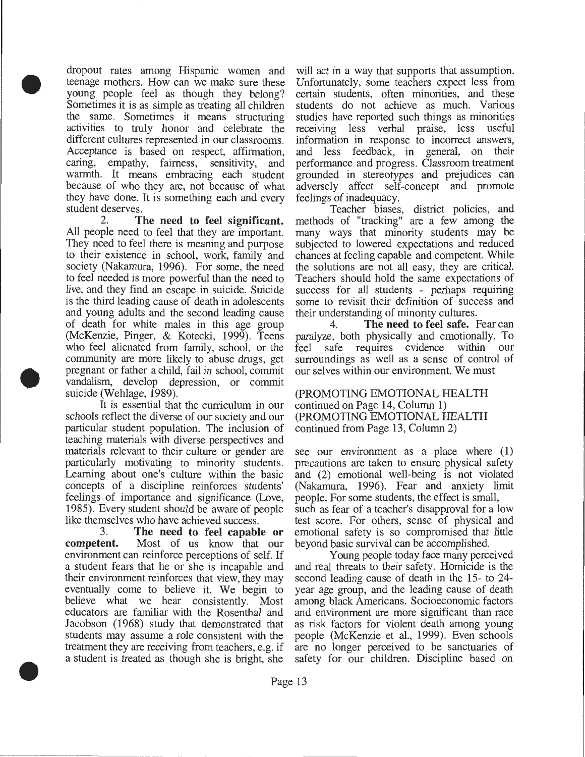dropout rates among Hispanic women and teenage mothers. How can we make sure these young people feel as though they belong? Sometimes it is as simple as treating all children the same. Sometimes it means structuring activities to truly honor and celebrate the different cultures represented in our classrooms. Acceptance is based on respect, affirmation, caring, empathy, fairness, sensitivity, and warmth. It means embracing each student because of who they are, not because of what they have done. It is something each and every student deserves.

•

•

•

2. **The need to feel significant.**  All people need to feel that they are important. They need to feel there is meaning and purpose to their existence in school, work, family and society (Nakamura, 1996). For some, the need to feel needed is more powerful than the need to live, and they find an escape in suicide. Suicide is the third leading cause of death in adolescents and young adults and the second leading cause of death for white males in this age group (McKenzie, Pinger, & Kotecki, 1999). Teens who feel alienated from family, school, or the community are more likely to abuse drugs, get pregnant or father a child, fail in school, commit vandalism, develop depression, or commit suicide (Wehlage, 1989).

It is essential that the curriculum in our schools reflect the diverse of our society and our particular student population. The inclusion of teaching materials with diverse perspectives and materials relevant to their culture or gender are particularly motivating to minority students. Learning about one's culture within the basic concepts of a discipline reinforces students' feelings of importance and significance (Love, 1985). Every student should be aware of people like themselves who have achieved success.<br>3. The need to feel capabl

3. **The need to feel capable or**  Most of us know that our environment can reinforce perceptions of self. If a student fears that he or she is incapable and their environment reinforces that view, they may eventually come to believe it. We begin to believe what we hear consistently. Most educators are familiar with the Rosenthal and Jacobson (1968) study that demonstrated that students may assume a role consistent with the treatment they are receiving from teachers, e.g. if a student is treated as though she is bright, she

will act in a way that supports that assumption. Unfortunately, some teachers expect less from certain students, often minorities, and these students do not achieve as much. Various studies have reported such things as minorities receiving less verbal praise, less useful information in response to incorrect answers, and less feedback, in general, on their performance and progress. Classroom treatment grounded in stereotypes and prejudices can adversely affect self-concept and promote feelings of inadequacy.

Teacher biases, district policies, and methods of "tracking" are a few among the many ways that minority students may be subjected to lowered expectations and reduced chances at feeling capable and competent. While the solutions are not all easy, they are critical. Teachers should hold the same expectations of success for all students - perhaps requiring some to revisit their definition of success and their understanding of minority cultures.

4. **The need to feel safe.** Fear can paralyze, both physically and emotionally. To feel safe requires evidence within our surroundings as well as a sense of control of our selves within our environment. We must

(PROMOTING EMOTIONAL HEALTH continued on Page 14, Column 1) (PROMOTING EMOTIONAL HEALTH continued from Page 13, Column 2)

see our environment as a place where  $(1)$ precautions are taken to ensure physical safety and (2) emotional well-being is not violated (Nakamura, 1996). Fear and anxiety limit people. For some students, the effect is small, such as fear of a teacher's disapproval for a low test score. For others, sense of physical and emotional safety is so compromised that little beyond basic survival can be accomplished.

Young people today face many perceived and real threats to their safety. Homicide is the second leading cause of death in the 15- to 24 year age group, and the leading cause of death among black Americans. Socioeconomic factors and environment are more significant than race as risk factors for violent death among young people (McKenzie et al., 1999). Even schools are no longer perceived to be sanctuaries of safety for our children. Discipline based on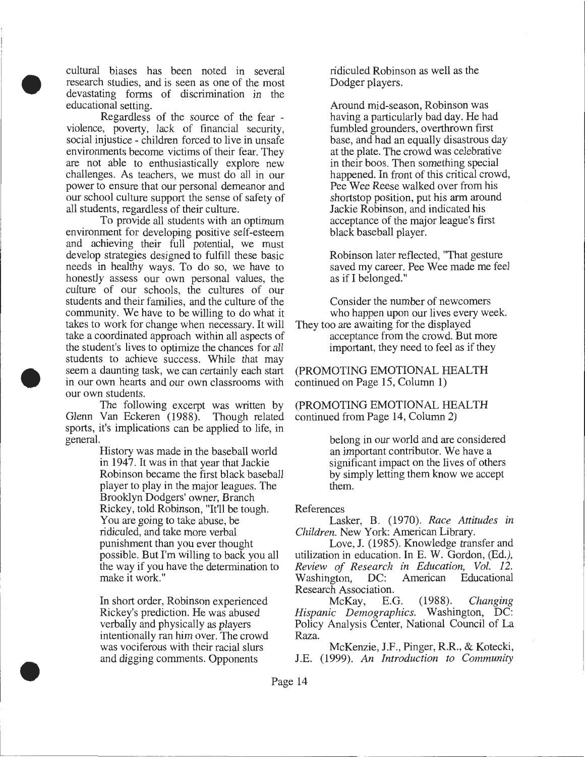• cultural biases has been noted in several research studies, and is seen as one of the most devastating forms of discrimination in the educational setting.

Regardless of the source of the fear violence, poverty, lack of financial security, social injustice - children forced to live in unsafe environments become victims of their fear. They are not able to enthusiastically explore new challenges. As teachers, we must do all in our power to ensure that our personal demeanor and our school culture support the sense of safety of all students, regardless of their culture.

To provide all students with an optimum environment for developing positive self-esteem and achieving their full potential, we must develop strategies designed to fulfill these basic needs in healthy ways. To do so, we have to honestly assess our own personal values, the culture of our schools, the cultures of our students and their families, and the culture of the community. We have to be willing to do what it takes to work for change when necessary. It will take a coordinated approach within all aspects of the student's lives to optimize the chances for all students to achieve success. While that may seem a daunting task, we can certainly each start in our own hearts and our own classrooms with our own students.

The following excerpt was written by Glenn Van Eckeren (1988). Though related sports, it's implications can be applied to life, in general.

•

•

History was made in the baseball world in 1947. It was in that year that Jackie Robinson became the first black baseball player to play in the major leagues. The Brooklyn Dodgers' owner, Branch Rickey, told Robinson, "It'll be tough. You are going to take abuse, be ridiculed, and take more verbal punishment than you ever thought possible. But I'm willing to back you all the way if you have the determination to make it work."

In short order, Robinson experienced Rickey's prediction. He was abused verbally and physically as players intentionally ran him over. The crowd was vociferous with their racial slurs and digging comments. Opponents

ridiculed Robinson as well as the Dodger players.

Around mid-season, Robinson was having a particularly bad day. He had fumbled grounders, overthrown first base, and had an equally disastrous day at the plate. The crowd was celebrative in their boos. Then something special happened. In front of this critical crowd, Pee Wee Reese walked over from his shortstop position, put his arm around Jackie Robinson, and indicated his acceptance of the major league's first black baseball player.

Robinson later reflected, "That gesture saved my career. Pee Wee made me feel as if I belonged."

Consider the number of newcomers who happen upon our lives every week. They too are awaiting for the displayed

acceptance from the crowd. But more important, they need to feel as if they

(PROMOTING EMOTIONAL HEALTH continued on Page 15, Column 1)

(PROMOTING EMOTIONAL HEALTH continued from Page 14, Column 2)

> belong in our world and are considered an important contributor. We have a significant impact on the lives of others by simply letting them know we accept them.

#### References

Lasker, B. (1970). *Race Attitudes in Children.* New York: American Library.

Love, J. (1985). Knowledge transfer and utilization in education. In E. W. Gordon, (Ed.), *Review of Research in Education, Vol. 12.*  Washington, DC: Research Association.

McKay, E.G. (1988). *Changing Hispanic Demographics.* Washington, DC: Policy Analysis Center, National Council of La Raza.

McKenzie, J.F., Pinger, R.R., & Kotecki, J.E. (1999). *An Introduction to Community*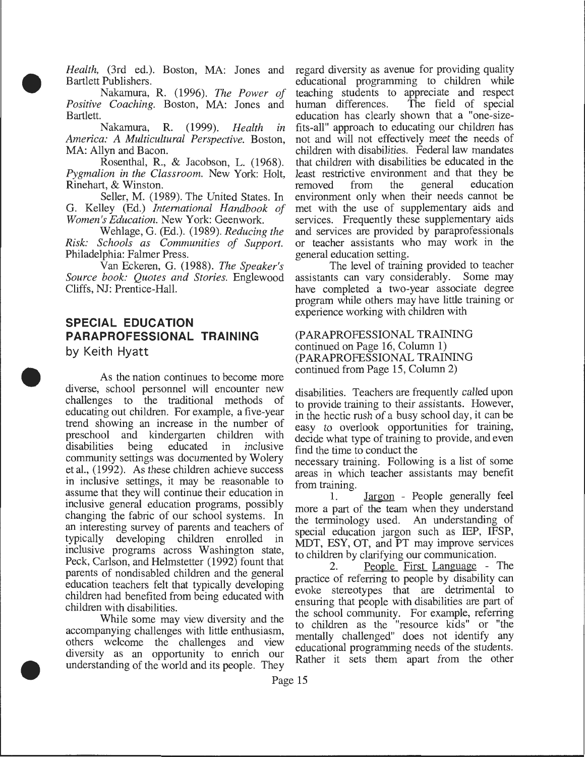*Health,* (3rd ed.). Boston, MA: Jones and Bartlett Publishers.

Nakamura, R. (1996). *The Power of Positive Coaching.* Boston, MA: Jones and Bartlett.

Nakamura, R. (1999). *Health in America: A Multicultural Perspective.* Boston, MA: Allyn and Bacon.

Rosenthal, R., & Jacobson, L. (1968). *Pygmalion in the Classroom.* New York: Holt, Rinehart, & Winston.

Seller, M. (1989). The United States. In G. Kelley (Ed.) *International Handbook of Women's Education.* New York: Geenwork.

Wehlage, G. (Ed.). (1989). *Reducing the Risk: Schools as Communities of Support.*  Philadelphia: Palmer Press.

Van Eckeren, G. (1988). *The Speaker's Source book: Quotes and Stories.* Englewood Cliffs, NJ: Prentice-Hall.

# **SPECIAL EDUCATION PARAPROFESSIONAL TRAINING**

by Keith Hyatt

•

•

•

As the nation continues to become more diverse, school personnel will encounter new challenges to the traditional methods of educating out children. For example, a five-year trend showing an increase in the number of preschool and kindergarten children with disabilities being educated in inclusive community settings was documented by Wolery et al., (1992). As these children achieve success in inclusive settings, it may be reasonable to assume that they will continue their education in inclusive general education programs, possibly changing the fabric of our school systems. In an interesting survey of parents and teachers of typically developing children enrolled in inclusive programs across Washington state, Peck, Carlson, and Helmstetter (1992) fount that parents of nondisabled children and the general education teachers felt that typically developing children had benefited from being educated with children with disabilities.

While some may view diversity and the accompanying challenges with little enthusiasm, others welcome the challenges and view diversity as an opportunity to enrich our understanding of the world and its people. They

regard diversity as avenue for providing quality educational programming to children while teaching students to appreciate and respect<br>human differences. The field of special human differences. education has clearly shown that a "one-sizefits-all" approach to educating our children has not and will not effectively meet the needs of children with disabilities. Federal law mandates that children with disabilities be educated in the least restrictive environment and that they be removed from the general education environment only when their needs cannot be met with the use of supplementary aids and services. Frequently these supplementary aids and services are provided by paraprofessionals or teacher assistants who may work in the general education setting.

The level of training provided to teacher assistants can vary considerably. Some may have completed a two-year associate degree program while others may have little training or experience working with children with

(PARAPROFESSIONAL TRAINING continued on Page 16, Column 1) (PARAPROFESSIONAL TRAINING continued from Page 15, Column 2)

disabilities. Teachers are frequently called upon to provide training to their assistants. However, in the hectic rush of a busy school day, it can be easy to overlook opportunities for training, decide what type of training to provide, and even find the time to conduct the

necessary training. Following is a list of some areas in which teacher assistants may benefit from training.

1. Jargon - People generally feel more a part of the team when they understand the terminology used. An understanding of special education jargon such as IEP, IFSP, MDT, ESY, OT, and PT may improve services to children by clarifying our communication.

2. People First Language - The practice of referring to people by disability can evoke stereotypes that are detrimental to ensuring that people with disabilities are part of the school community. For example, referring to children as the "resource kids" or "the mentally challenged" does not identify any educational programming needs of the students. Rather it sets them apart from the other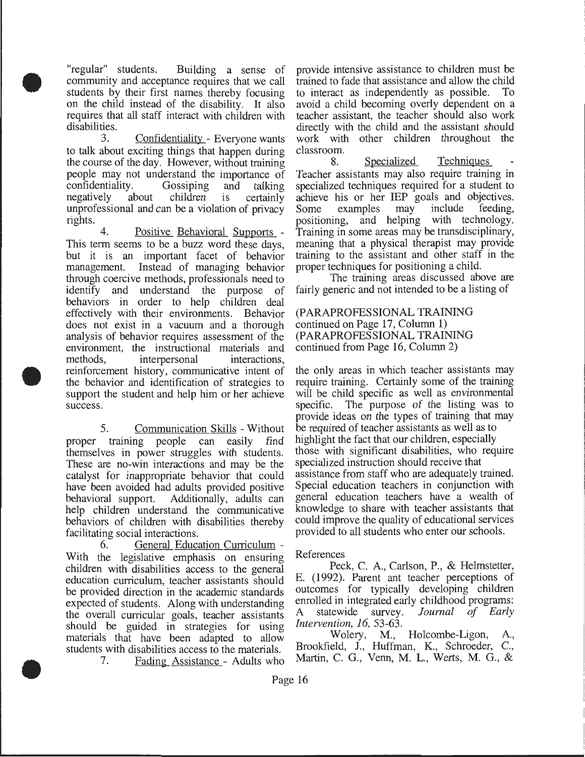"regular" students. Building a sense of community and acceptance requires that we call students by their first names thereby focusing on the child instead of the disability. It also requires that all staff interact with children with disabilities.

•

•

•

3. Confidentiality - Everyone wants to talk about exciting things that happen during the course of the day. However, without training people may not understand the importance of confidentiality. Gossiping and talking confidentiality. negatively about children is certainly unprofessional and can be a violation of privacy rights.

4. Positive Behavioral Supports - This term seems to be a buzz word these days, but it is an important facet of behavior management. Instead of managing behavior through coercive methods, professionals need to identify and understand the purpose of behaviors in order to help children deal effectively with their environments. Behavior does not exist in a vacuum and a thorough analysis of behavior requires assessment of the environment, the instructional materials and methods, interpersonal interactions, reinforcement history, communicative intent of the behavior and identification of strategies to support the student and help him or her achieve success.

5. Communication Skills -Without proper training people can easily find themselves in power struggles with students. These are no-win interactions and may be the catalyst for inappropriate behavior that could have been avoided had adults provided positive behavioral support. Additionally, adults can help children understand the communicative behaviors of children with disabilities thereby facilitating social interactions.

6. General Education Curriculum - With the legislative emphasis on ensuring children with disabilities access to the general education curriculum, teacher assistants should be provided direction in the academic standards expected of students. Along with understanding the overall curricular goals, teacher assistants should be guided in strategies for using materials that have been adapted to allow students with disabilities access to the materials.

7. Fading Assistance - Adults who

provide intensive assistance to children must be trained to fade that assistance and allow the child to interact as independently as possible. To avoid a child becoming overly dependent on a teacher assistant, the teacher should also work directly with the child and the assistant should work with other children throughout the

classroom. Specialized Techniques Teacher assistants may also require training in specialized techniques required for a student to achieve his or her IEP goals and objectives.<br>Some examples may include feeding, Some examples positioning, and helping with technology. Training in some areas may be transdisciplinary, meaning that a physical therapist may provide training to the assistant and other staff in the proper techniques for positioning a child.

The training areas discussed above are fairly generic and not intended to be a listing of

(PARAPROFESSIONAL TRAINING continued on Page 17, Column 1) (PARAPROFESSIONAL TRAINING continued from Page 16, Column 2)

the only areas in which teacher assistants may require training. Certainly some of the training will be child specific as well as environmental specific. The purpose of the listing was to provide ideas on the types of training that may be required of teacher assistants as well as to highlight the fact that our children, especially those with significant disabilities, who require specialized instruction should receive that assistance from staff who are adequately trained. Special education teachers in conjunction with general education teachers have a wealth of knowledge to share with teacher assistants that could improve the quality of educational services provided to all students who enter our schools.

#### References

Peck, C. A, Carlson, P., & Helmstetter, E. (1992). Parent ant teacher perceptions of outcomes for typically developing children enrolled in integrated early childhood programs: A statewide survey. *Journal of Early Intervention, 16,* 53-63.

Wolery, M., Holcombe-Ligon, A, Brookfield, J., Huffman, K., Schroeder, C., Martin, C. G., Venn, M. L., Werts, M. G., &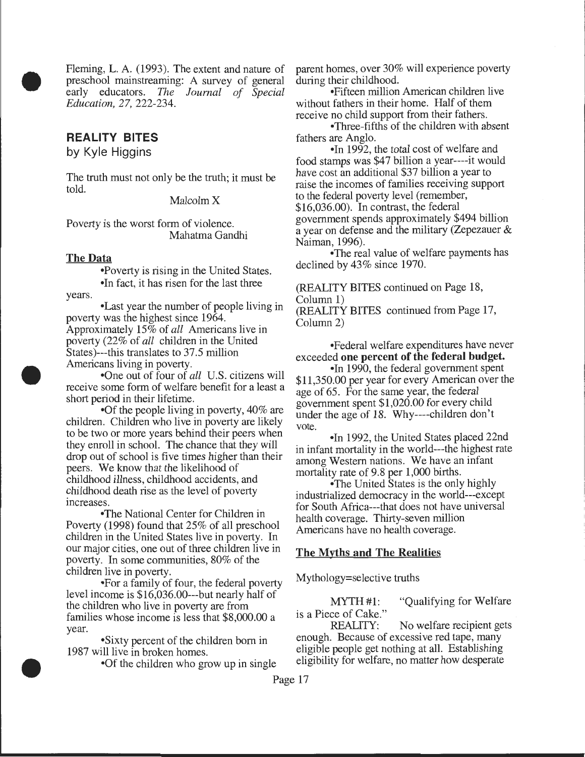Fleming, L.A. (1993). The extent and nature of preschool mainstreaming: A survey of general early educators. *The Journal of Special Education,* 27, 222-234.

## **REALITY BITES**

•

•

•

by Kyle Higgins

The truth must not only be the truth; it must be told.

Malcolm X

Poverty is the worst form of violence. Mahatma Gandhi

#### The Data

years. •Poverty is rising in the United States. •In fact, it has risen for the last three

•Last year the number of people living in poverty was the highest since 1964. Approximately 15% of *all* Americans live in poverty (22% of *all* children in the United States)---this translates to 37.5 million Americans living in poverty.

•One out of four of *all* U.S. citizens will receive some form of welfare benefit for a least a short period in their lifetime.

•Of the people living in poverty, 40% are children. Children who live in poverty are likely to be two or more years behind their peers when they enroll in school. The chance that they will drop out of school is five times higher than their peers. We know that the likelihood of childhood illness, childhood accidents, and childhood death rise as the level of poverty increases.

•The National Center for Children in Poverty (1998) found that 25% of all preschool children in the United States live in poverty. In our major cities, one out of three children live in poverty. In some communities, 80% of the children live in poverty.

•For a family of four, the federal poverty level income is \$16,036.00---but nearly half of the children who live in poverty are from families whose income is less that \$8,000.00 a year.

•Sixty percent of the children born in 1987 will live in broken homes.

•Of the children who grow up in single

parent homes, over 30% will experience poverty

•Fifteen million American children live without fathers in their home. Half of them receive no child support from their fathers.

•Three-fifths of the children with absent fathers are Anglo.

• In 1992, the total cost of welfare and food stamps was \$47 billion a year----it would have cost an additional \$37 billion a year to raise the incomes of families receiving support to the federal poverty level (remember,  $$16,036,00$ ). In contrast, the federal government spends approximately \$494 billion a year on defense and the military (Zepezauer & Naiman, 1996).

•The real value of welfare payments has declined by 43% since 1970.

(REALITY BITES continued on Page 18, Column 1)

(REALITY BITES continued from Page 17, Column 2)

•Federal welfare expenditures have never exceeded one percent of the federal budget.

•In 1990, the federal government spent \$11,350.00 per yeat for every American over the age of 65. For the same year, the federal government spent \$1,020.00 for every child under the age of 18. Why----children don't vote.

•In 1992, the United States placed 22nd in infant mortality in the world---the highest rate among Western nations. We have an infant mortality rate of 9.8 per 1,000 births.

•The United States is the only highly industrialized democracy in the world---except for South Africa---that does not have universal health coverage. Thirty-seven million Americans have no health coverage.

#### The Myths and The Realities

Mythology=selective truths

MYTH #1: "Qualifying for Welfare" is a Piece of Cake."

No welfare recipient gets enough. Because of excessive red tape, many eligible people get nothing at all. Establishing eligibility for welfare, no matter how desperate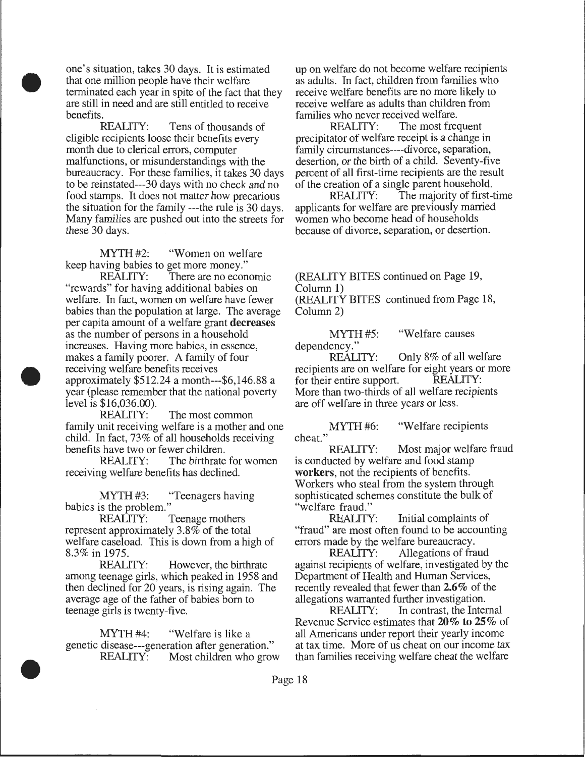one's situation, takes 30 days. It is estimated that one million people have their welfare terminated each year in spite of the fact that they are still in need and are still entitled to receive benefits.<br>REALITY:

•

•

•

Tens of thousands of eligible recipients loose their benefits every month due to clerical errors, computer malfunctions, or misunderstandings with the bureaucracy. For these families, it takes 30 days to be reinstated---30 days with no check and no food stamps. It does not matter how precarious the situation for the family ---the rule is 30 days. Many families are pushed out into the streets for these 30 days.

MYTH #2: "Women on welfare keep having babies to get more money."

REALITY: There are no economic "rewards" for having additional babies on welfare. In fact, women on welfare have fewer babies than the population at large. The average per capita amount of a welfare grant decreases as the number of persons in a household increases. Having more babies, in essence, makes a family poorer. A family of four receiving welfare benefits receives approximately \$512.24 a month---\$6,146.88 a year (please remember that the national poverty level is \$16,036.00).

REALITY: The most common family unit receiving welfare is a mother and one child. In fact, 73% of all households receiving benefits have two or fewer children.

REALITY: The birthrate for women receiving welfare benefits has declined.

MYTH #3: "Teenagers having babies is the problem."

REALITY: Teenage mothers represent approximately 3.8% of the total welfare caseload. This is down from a high of 8.3% in 1975.

REALITY: However, the birthrate among teenage girls, which peaked in 1958 and then declined for 20 years, is rising again. The average age of the father of babies born to teenage girls is twenty-five.

MYTH #4: "Welfare is like a genetic disease---generation after generation."<br>REALITY: Most children who grow Most children who grow up on welfare do not become welfare recipients as adults. In fact, children from families who receive welfare benefits are no more likely to receive welfare as adults than children from

families who never received welfare.<br>REALITY: The most free The most frequent precipitator of welfare receipt is a change in family circumstances----divorce, separation, desertion, or the birth of a child. Seventy-five percent of all first-time recipients are the result of the creation of a single parent household.<br>REALITY: The majority of first-

The majority of first-time applicants for welfare are previously married women who become head of households because of divorce, separation, or desertion.

(REALITY BITES continued on Page 19, Column 1)

(REALITY BITES continued from Page 18, Column 2)

MYTH #5: "Welfare causes"

dependency."<br>REALITY: Only  $8\%$  of all welfare recipients are on welfare for eight years or more<br>for their entire support. REALITY: for their entire support. More than two-thirds of all welfare recipients are off welfare in three years or less.

MYTH #6: "Welfare recipients cheat."<br>REALITY:

Most major welfare fraud is conducted by welfare and food stamp workers, not the recipients of benefits. Workers who steal from the system through sophisticated schemes constitute the bulk of welfare fraud."<br>REALITY:

Initial complaints of "fraud" are most often found to be accounting errors made by the welfare bureaucracy.

REALITY: Allegations of fraud against recipients of welfare, investigated by the Department of Health and Human Services, recently revealed that fewer than 2.6% of the allegations warranted further investigation.<br>REALITY: In contrast, the Inter

In contrast, the Internal Revenue Service estimates that 20% to 25% of all Americans under report their yearly income at tax time. More of us cheat on our income tax than families receiving welfare cheat the welfare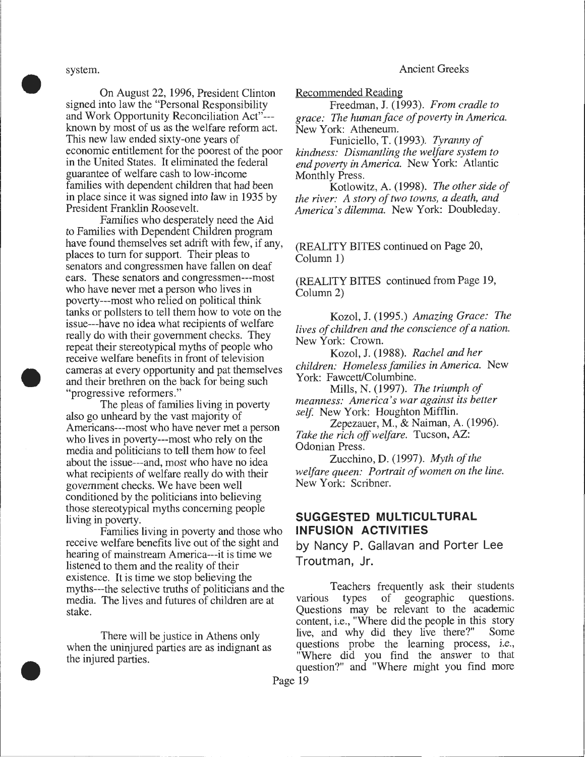Ancient Greeks

system.

•

•

•

On August 22, 1996, President Clinton signed into law the "Personal Responsibility and Work Opportunity Reconciliation Act"-- known by most of us as the welfare reform act. This new law ended sixty-one years of economic entitlement for the poorest of the poor in the United States. It eliminated the federal guarantee of welfare cash to low-income families with dependent children that had been in place since it was signed into law in 1935 by President Franklin Roosevelt.

Families who desperately need the Aid to Families with Dependent Children program have found themselves set adrift with few, if any, places to turn for support. Their pleas to senators and congressmen have fallen on deaf ears. These senators and congressmen---most who have never met a person who lives in poverty---most who relied on political think tanks or pollsters to tell them how to vote on the issue---have no idea what recipients of welfare really do with their government checks. They repeat their stereotypical myths of people who receive welfare benefits in front of television cameras at every opportunity and pat themselves and their brethren on the back for being such "progressive reformers."

The pleas of families living in poverty also go unheard by the vast majority of Americans---most who have never met a person who lives in poverty---most who rely on the media and politicians to tell them how to feel about the issue---and, most who have no idea what recipients of welfare really do with their government checks. We have been well conditioned by the politicians into believing those stereotypical myths concerning people living in poverty.

Families living in poverty and those who receive welfare benefits live out of the sight and hearing of mainstream America---it is time we listened to them and the reality of their existence. It is time we stop believing the myths---the selective truths of politicians and the media. The lives and futures of children are at stake.

There will be justice in Athens only when the uninjured parties are as indignant as the injured parties .

Recommended Reading

Freedman, J. (1993). *From cradle to grace: The human face of poverty in America.*  New York: Atheneum.

Funiciello, T. (1993). *Tyranny of kindness: Dismantling the welfare system to end poverty in America.* New York: Atlantic Monthly Press.

Kotlowitz, A. (1998). *The other side of the river: A story of two towns, a death, and America's dilemma.* New York: Doubleday.

(REALITY BITES continued on Page 20, Column 1)

(REALITY BITES continued from Page 19, Column 2)

Kozol, J. (1995.) *Amazing Grace: The lives of children and the conscience of a nation.*  New York: Crown.

Kozol, J. (1988). *Rachel and her children: Homeless families in America.* New York: Fawcett/Columbine.

Mills, N. (1997). *The triumph of meanness: America's war against its better self.* New York: Houghton Mifflin.

Zepezauer, M., & Naiman, A. (1996). *Take the rich off welfare.* Tucson, AZ: Odonian Press.

Zucchino, D. (1997). *Myth of the welfare queen: Portrait of women on the line.*  New York: Scribner.

## **SUGGESTED MULTICULTURAL INFUSION ACTIVITIES**

by Nancy P. Gallavan and Porter Lee Troutman, Jr.

Teachers frequently ask their students various types of geographic questions. Questions may be relevant to the academic content, i.e., "Where did the people in this story live, and why did they live there?" Some questions probe the learning process, i.e., "Where did you find the answer to that question?" and "Where might you find more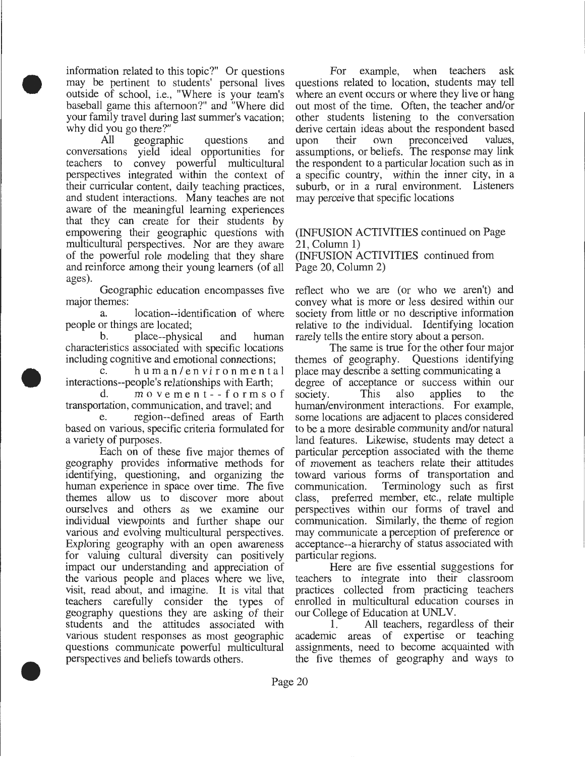information related to this topic?" Or questions may be pertinent to students' personal lives outside of school, i.e., "Where is your team's baseball game this afternoon?" and "Where did your family travel during last summer's vacation; why did you go there?"

•

•

•

All geographic questions and conversations yield ideal opportunities for teachers to convey powerful multicultural perspectives integrated within the context of their curricular content, daily teaching practices, and student interactions. Many teaches are not aware of the meaningful learning experiences that they can create for their students by empowering their geographic questions with multicultural perspectives. Nor are they aware of the powerful role modeling that they share and reinforce among their young learners (of all ages).

Geographic education encompasses five major themes:

a. location--identification of where people or things are located;

b. place--physical and human characteristics associated with specific locations including cognitive and emotional connections;

h u m a n / e n vi r o n m e n t a l interactions--people's relationships with Earth;

d. m o v e m e n t - - f o r m s o f transportation, communication, and travel; and

region--defined areas of Earth based on various, specific criteria formulated for a variety of purposes.

Each on of these five major themes of geography provides informative methods for identifying, questioning, and organizing the human experience in space over time. The five themes allow us to discover more about ourselves and others as we examine our individual viewpoints and further shape our various and evolving multicultural perspectives. Exploring geography with an open awareness for valuing cultural diversity can positively impact our understanding and appreciation of the various people and places where we live, visit, read about, and imagine. It is vital that teachers carefully consider the types of geography questions they are asking of their students and the attitudes associated with various student responses as most geographic questions communicate powerful multicultural perspectives and beliefs towards others .

For example, when teachers ask questions related to location, students may tell where an event occurs or where they live or hang out most of the time. Often, the teacher and/or other students listening to the conversation derive certain ideas about the respondent based upon their own preconceived values, assumptions, or beliefs. The response may link the respondent to a particular location such as in a specific country, within the inner city, in a suburb, or in a rural environment. Listeners may perceive that specific locations

## (INFUSION ACTIVITIES continued on Page 21, Column 1)

(INFUSION ACTIVITIES continued from Page 20, Column 2)

reflect who we are (or who we aren't) and convey what is more or less desired within our society from little or no descriptive information relative to the individual. Identifying location rarely tells the entire story about a person.

The same is true for the other four major themes of geography. Questions identifying place may describe a setting communicating a degree of acceptance or success within our society. This also applies to the society. This also applies to the human/environment interactions. For example, some locations are adjacent to places considered to be a more desirable community and/or natural land features. Likewise, students may detect a particular perception associated with the theme of movement as teachers relate their attitudes toward various forms of transportation and communication. Terminology such as first class, preferred member, etc., relate multiple perspectives within our forms of travel and communication. Similarly, the theme of region may communicate a perception of preference or acceptance--a hierarchy of status associated with particular regions.

Here are five essential suggestions for teachers to integrate into their classroom practices collected from practicing teachers enrolled in multicultural education courses in our College of Education at UNLV.

1. All teachers, regardless of their academic areas of expertise or teaching assignments, need to become acquainted with the five themes of geography and ways to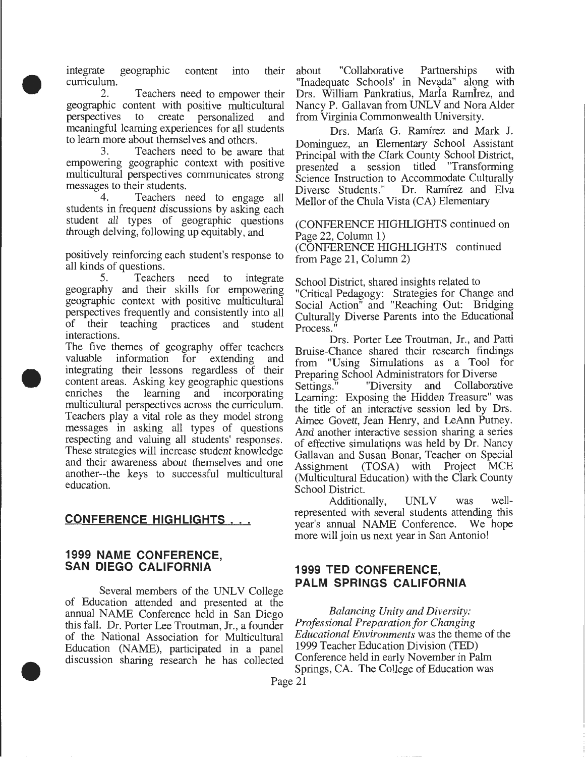integrate geographic content into curriculum.

•

•

•

2. Teachers need to empower their geographic content with positive multicultural perspectives to create personalized and meaningful learning experiences for all students to learn more about themselves and others.<br>3. Teachers need to be aware

Teachers need to be aware that empowering geographic context with positive multicultural perspectives communicates strong messages to their students.

4. Teachers need to engage all students in frequent discussions by asking each student all types of geographic questions through delving, following up equitably, and

positively reinforcing each student's response to all kinds of questions.

5. Teachers need to integrate geography and their skills for empowering geographic context with positive multicultural perspectives frequently and consistently into all of their teaching practices and student interactions.

The five themes of geography offer teachers valuable information for extending and integrating their lessons regardless of their content areas. Asking key geographic questions enriches the learning and incorporating multicultural perspectives across the curriculum. Teachers play a vital role as they model strong messages in asking all types of questions respecting and valuing all students' responses. These strategies will increase student knowledge and their awareness about themselves and one another--the keys to successful multicultural education.

## **CONFERENCE HIGHLIGHTS** ...

#### **1999 NAME CONFERENCE, SAN DIEGO CALIFORNIA**

Several members of the UNLV College of Education attended and presented at the annual NAME Conference held in San Diego this fall. Dr. Porter Lee Troutman, Jr., a founder of the National Association for Multicultural Education (NAME), participated in a panel discussion sharing research he has collected

their about "Collaborative Partnerships with "Inadequate Schools' in Nevada" along with Drs. William Pankratius, Marla Ramirez, and Nancy P. Gallavan from UNLV and Nora Alder from Virginia Commonwealth University.

> Drs. Marfa G. Ramirez and Mark J. Dominguez, an Elementary School Assistant Principal with the Clark County School District, presented a session titled "Transforming Science Instruction to Accommodate Culturally<br>Diverse Students." Dr. Ramírez and Elva Dr. Ramírez and Elva Mellor of the Chula Vista (CA) Elementary

(CONFERENCE HIGHLIGHTS continued on Page 22, Column 1) (CONFERENCE HIGHLIGHTS continued from Page 21, Column 2)

School District, shared insights related to "Critical Pedagogy: Strategies for Change and Social Action" and "Reaching Out: Bridging Culturally Diverse Parents into the Educational Process.

Drs. Porter Lee Troutman, Jr., and Patti Bruise-Chance shared their research findings from "Using Simulations as a Tool for Preparing School Administrators for Diverse . Settings." "Diversity and Collaborative Learning: Exposing the Hidden Treasure" was the title of an interactive session led by Drs. Aimee Govett, Jean Henry, and LeAnn Putney. And another interactive session sharing a series of effective simulatiqns was held by Dr. Nancy Gallavan and Susan Bonar, Teacher on Special Assignment (TOSA) with Project MCE (Multicultural Education) with the Clark County School District.

Additionally, UNLV was wellrepresented with several students attending this year's annual NAME Conference. We hope more will join us next year in San Antonio!

## **1999 TED CONFERENCE, PALM SPRINGS CALIFORNIA**

*Balancing Unity and Diversity: Professional Preparation for Changing Educational Environments* was the theme of the 1999 Teacher Education Division (TED) Conference held in early November in Palm Springs, CA. The College of Education was Page 21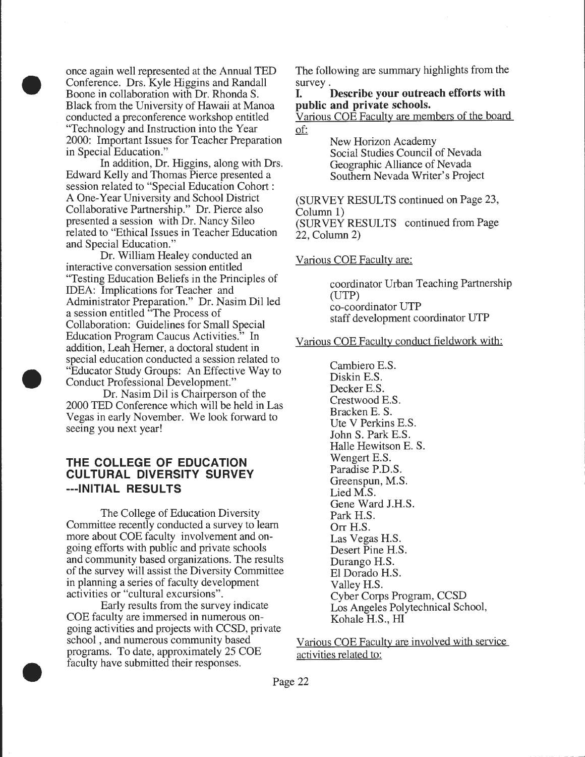once again well represented at the Annual TED Conference. Drs. Kyle Higgins and Randall Boone in collaboration with Dr. Rhonda S. Black from the University of Hawaii at Manoa conducted a preconference workshop entitled "Technology and Instruction into the Year 2000: Important Issues for Teacher Preparation in Special Education."

•

•

•

In addition, Dr. Higgins, along with Drs. Edward Kelly and Thomas Pierce presented a session related to "Special Education Cohort : A One-Year University and School District Collaborative Partnership." Dr. Pierce also presented a session with Dr. Nancy Sileo related to "Ethical Issues in Teacher Education and Special Education."

Dr. William Healey conducted an interactive conversation session entitled "Testing Education Beliefs in the Principles of IDEA: Implications for Teacher and Administrator Preparation." Dr. Nasim Dil led a session entitled "The Process of Collaboration: Guidelines for Small Special Education Program Caucus Activities." In addition, Leah Herner, a doctoral student in special education conducted a session related to "Educator Study Groups: An Effective Way to Conduct Professional Development."

Dr. Nasim Dil is Chairperson of the 2000 TED Conference which will be held in Las Vegas in early November. We look forward to seeing you next year!

## **THE COLLEGE OF EDUCATION CULTURAL DIVERSITY SURVEY ---INITIAL RESULTS**

The College of Education Diversity Committee recently conducted a survey to learn more about COE faculty involvement and ongoing efforts with public and private schools and community based organizations. The results of the survey will assist the Diversity Committee in planning a series of faculty development activities or "cultural excursions".

Early results from the survey indicate COE faculty are immersed in numerous ongoing activities and projects with CCSD, private school , and numerous community based programs. To date, approximately 25 COE faculty have submitted their responses .

The following are summary highlights from the survey.

## **I. Describe your outreach efforts with public and private schools.**

Various COE Faculty are members of the board of:

> New Horizon Academy Social Studies Council of Nevada Geographic Alliance of Nevada Southern Nevada Writer's Project

(SURVEY RESULTS continued on Page 23, Column 1) (SURVEY RESULTS continued from Page 22, Column 2)

Various COE Faculty are:

coordinator Urban Teaching Partnership (UTP) co-coordinator UTP staff development coordinator UTP

#### Various COE Faculty conduct fieldwork with:

Cambiero E.S. Diskin E.S. Decker E.S. Crestwood E.S. Bracken E. S. Ute V Perkins E.S. John S. Park E.S. Halle Hewitson E. S. Wengert E.S. Paradise P.D.S. Greenspun, M.S. Lied M.S. Gene Ward J.H.S. Park H.S. Orr H.S. Las Vegas H.S. Desert Pine H.S. Durango H.S. El Dorado H.S. Valley H.S. Cyber Corps Program, CCSD Los Angeles Polytechnical School, Kohale H.S., HI

Various COE Faculty are involved with service activities related to: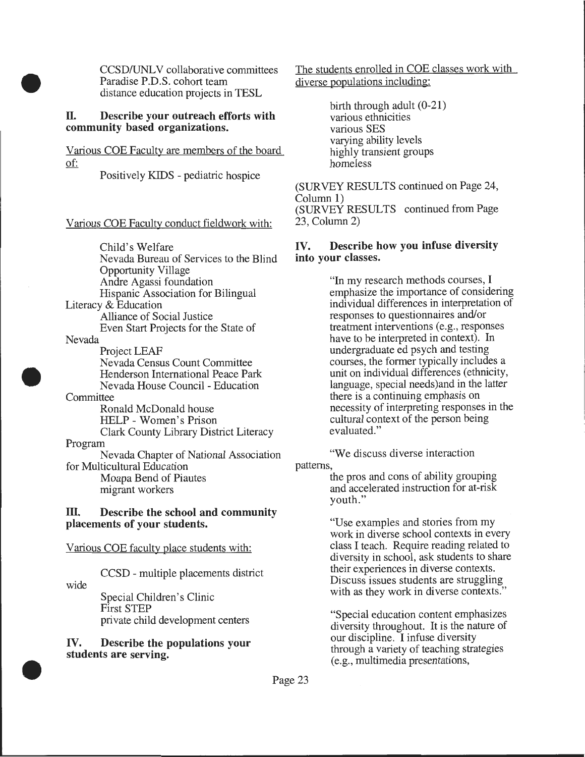CCSD/UNLV collaborative committees Paradise P.D.S. cohort team distance education projects in TESL

#### **II. Describe your outreach efforts with community based organizations.**

Various COE Faculty are members of the board of:

Positively KIDS - pediatric hospice

Various COE Faculty conduct fieldwork with:

Child's Welfare Nevada Bureau of Services to the Blind Opportunity Village Andre Agassi foundation Hispanic Association for Bilingual Literacy & Education Nevada Alliance of Social Justice Even Start Projects for the State of

Project LEAF Nevada Census Count Committee Henderson International Peace Park Nevada House Council- Education

**Committee** Ronald McDonald house HELP- Women's Prison Clark County Library District Literacy Program

Nevada Chapter of National Association for Multicultural Education Moapa Bend of Piautes migrant workers

#### **ill. Describe the school and community placements of your students.**

Various COE faculty place students with:

CCSD - multiple placements district

wide

•

•

•

Special Children's Clinic First STEP private child development centers

IV. **Describe the populations your students are serving.** 

The students enrolled in COE classes work with diverse populations including:

> birth through adult (0-21) various ethnicities various SES varying ability levels highly transient groups homeless

(SURVEY RESULTS continued on Page 24, Column 1) (SURVEY RESULTS continued from Page 23, Column 2)

## **IV. Describe how you infuse diversity into your** classes.

"In my research methods courses, I emphasize the importance of considering individual differences in interpretation of responses to questionnaires and/or treatment interventions (e.g., responses have to be interpreted in context). In undergraduate ed psych and testing courses, the former typically includes a unit on individual differences (ethnicity, language, special needs )and in the latter there is a continuing emphasis on necessity of interpreting responses in the cultural context of the person being evaluated."

"We discuss diverse interaction

patterns,

the pros and cons of ability grouping and accelerated instruction for at-risk youth."

"Use examples and stories from my work in diverse school contexts in every class I teach. Require reading related to diversity in school, ask students to share their experiences in diverse contexts. Discuss issues students are struggling with as they work in diverse contexts."

"Special education content emphasizes diversity throughout. It is the nature of our discipline. I infuse diversity through a variety of teaching strategies (e.g., multimedia presentations,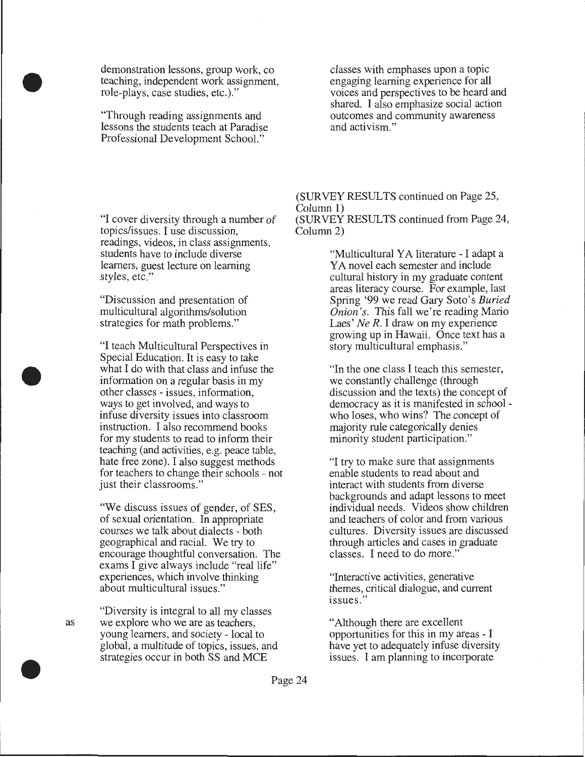demonstration lessons, group work, co teaching, independent work assignment, role-plays, case studies, etc.)."

"Through reading assignments and lessons the students teach at Paradise Professional Development School."

classes with emphases upon a topic engaging learning experience for all voices and perspectives to be heard and shared. I also emphasize social action outcomes and community awareness and activism."

"I cover diversity through a number of topics/issues. I use discussion, readings, videos, in class assignments, students have to include diverse learners, guest lecture on learning styles, etc."

"Discussion and presentation of multicultural algorithms/solution strategies for math problems."

"I teach Multicultural Perspectives in Special Education. It is easy to take what I do with that class and infuse the information on a regular basis in my other classes - issues, information, ways to get involved, and ways to infuse diversity issues into classroom instruction. I also recommend books for my students to read to inform their teaching (and activities, e.g. peace table, hate free zone). I also suggest methods for teachers to change their schools - not just their classrooms."

"We discuss issues of gender, of SES, of sexual orientation. In appropriate courses we talk about dialects - both geographical and racial. We try to encourage thoughtful conversation. The exams I give always include "real life" experiences, which involve thinking about multicultural issues."

"Diversity is integral to all my classes we explore who we are as teachers, young learners, and society - local to global, a multitude of topics, issues, and strategies occur in both SS and MCE

(SURVEY RESULTS continued on Page 25, Column 1) (SURVEY RESULTS continued from Page 24, Column 2)

> "Multicultural YA literature - I adapt a YA novel each semester and include cultural history in my graduate content areas literacy course. For example, last Spring '99 we read Gary Soto's *Buried Onion's.* This fall we're reading Mario Laes' *Ne R.* I draw on my experience growing up in Hawaii. Once text has a story multicultural emphasis."

> "In the one class I teach this semester, we constantly challenge (through discussion and the texts) the concept of democracy as it is manifested in schoolwho loses, who wins? The concept of majority rule categorically denies minority student participation."

"I try to make sure that assignments enable students to read about and interact with students from diverse backgrounds and adapt lessons to meet individual needs. Videos show children and teachers of color and from various cultures. Diversity issues are discussed through articles and cases in graduate classes. I need to do more."

"Interactive activities, generative themes, critical dialogue, and current issues."

"Although there are excellent opportunities for this in my areas - I have yet to adequately infuse diversity issues. I am planning to incorporate



•

•

•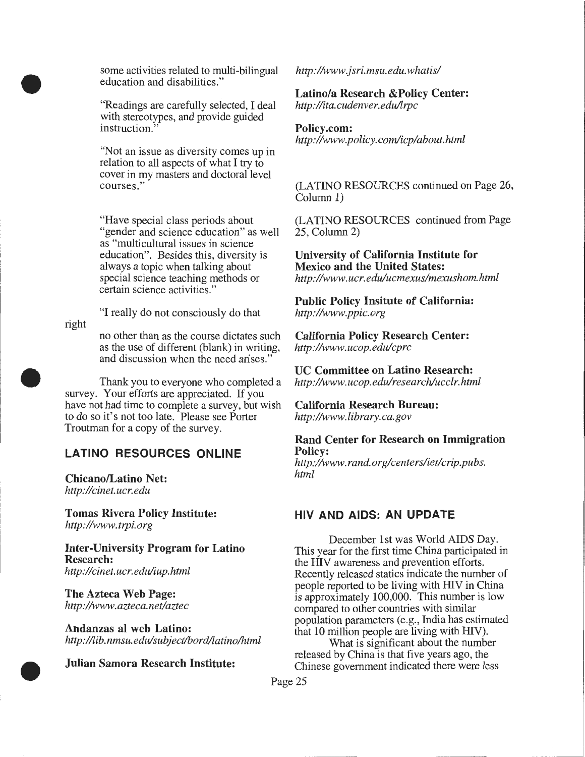some activities related to multi-bilingual education and disabilities."

"Readings are carefully selected, I deal with stereotypes, and provide guided instruction.

"Not an issue as diversity comes up in relation to all aspects of what I try to cover in my masters and doctoral level courses."

"Have special class periods about "gender and science education" as well as "multicultural issues in science education". Besides this, diversity is always a topic when talking about special science teaching methods or certain science activities."

"I really do not consciously do that

right

•

•

•

no other than as the course dictates such as the use of different (blank) in writing, and discussion when the need arises."

Thank you to everyone who completed a survey. Your efforts are appreciated. If you have not had time to complete a survey, but wish to do so it's not too late. Please see Porter Troutman for a copy of the survey.

## **LATINO RESOURCES ONLINE**

Chicano/Latino Net: *http://cinet. ucr. edu* 

**Tomas Rivera Policy Institute:**  *http://www.trpi.org* 

**Inter-University Program for Latino Research:**  *http://cinet.ucr.edu/iup.html* 

**The Azteca Web Page:**  *http://www.azteca.net/aztec* 

**Andanzas al web Latino:**  *http:/ /lib. nmsu. edulsubject/bordllatino/html* 

**Julian Samora Research Institute:** 

*http://www.jsri.msu.edu. whatis/* 

## **Latino/a Research &Policy Center:**

*http ://ita. cudenver. edullrpc* 

#### **Policy.com:**

*http://www.policy.com/icp/about.html* 

(LATINO RESOURCES continued on Page 26, Column **1)** 

(LATINO RESOURCES continued from Page 25, Column 2)

**University of California Institute for Mexico and the United States:**  *http://www. ucr. edulucmexus/mexushom.html* 

**Public Policy Insitute of California:**  *http://www.ppic.org* 

**California Policy Research Center:**  *http://www.ucop.edu/cprc* 

**UC Committee on Latino Research:**  *http :/lwww. ucop. edulresearch/ucclr. html* 

**California Research Bureau:**  *http://www.library.ca.gov* 

**Rand Center for Research on Immigration Policy:** 

*http :/lwww. rand. org/centers/iet!crip.pubs. html* 

## **HIV AND AIDS: AN UPDATE**

December 1st was World AIDS Day. This year for the first time China participated in the HIV awareness and prevention efforts. Recently released statics indicate the number of people reported to be living with HIV in China is approximately 100,000. This number is low compared to other countries with similar population parameters (e.g., India has estimated that 10 million people are living with HIV).

What is significant about the number released by China is that five years ago, the Chinese government indicated there were less

- -·-· -------- ·------- - -------------------....1

Page 25